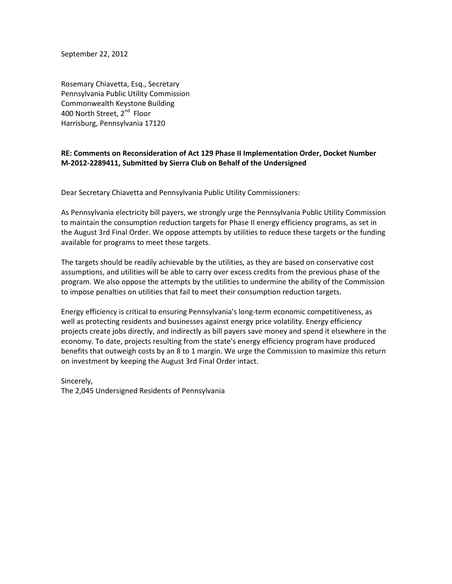September 22, 2012

Rosemary Chiavetta, Esq., Secretary Pennsylvania Public Utility Commission Commonwealth Keystone Building 400 North Street, 2<sup>nd</sup> Floor Harrisburg, Pennsylvania 17120

## **RE: Comments on Reconsideration of Act 129 Phase II Implementation Order, Docket Number M-2012-2289411, Submitted by Sierra Club on Behalf of the Undersigned**

Dear Secretary Chiavetta and Pennsylvania Public Utility Commissioners:

As Pennsylvania electricity bill payers, we strongly urge the Pennsylvania Public Utility Commission to maintain the consumption reduction targets for Phase II energy efficiency programs, as set in the August 3rd Final Order. We oppose attempts by utilities to reduce these targets or the funding available for programs to meet these targets.

The targets should be readily achievable by the utilities, as they are based on conservative cost assumptions, and utilities will be able to carry over excess credits from the previous phase of the program. We also oppose the attempts by the utilities to undermine the ability of the Commission to impose penalties on utilities that fail to meet their consumption reduction targets.

Energy efficiency is critical to ensuring Pennsylvania's long-term economic competitiveness, as well as protecting residents and businesses against energy price volatility. Energy efficiency projects create jobs directly, and indirectly as bill payers save money and spend it elsewhere in the economy. To date, projects resulting from the state's energy efficiency program have produced benefits that outweigh costs by an 8 to 1 margin. We urge the Commission to maximize this return on investment by keeping the August 3rd Final Order intact.

Sincerely, The 2,045 Undersigned Residents of Pennsylvania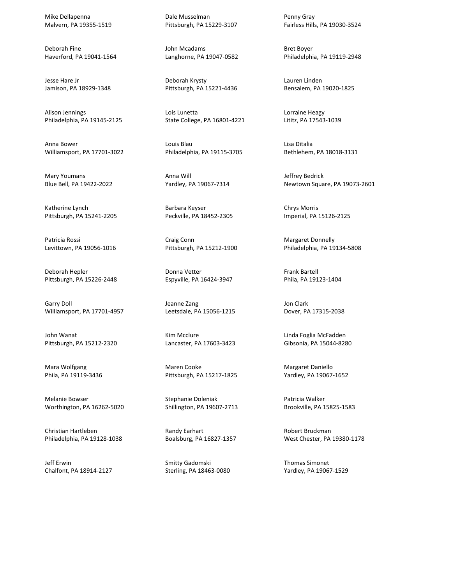Mike Dellapenna Malvern, PA 19355-1519

Deborah Fine Haverford, PA 19041-1564

Jesse Hare Jr Jamison, PA 18929-1348

Alison Jennings Philadelphia, PA 19145-2125

Anna Bower Williamsport, PA 17701-3022

Mary Youmans Blue Bell, PA 19422-2022

Katherine Lynch Pittsburgh, PA 15241-2205

Patricia Rossi Levittown, PA 19056-1016

Deborah Hepler Pittsburgh, PA 15226-2448

Garry Doll Williamsport, PA 17701-4957

John Wanat Pittsburgh, PA 15212-2320

Mara Wolfgang Phila, PA 19119-3436

Melanie Bowser Worthington, PA 16262-5020

Christian Hartleben Philadelphia, PA 19128-1038

Jeff Erwin Chalfont, PA 18914-2127 Dale Musselman Pittsburgh, PA 15229-3107

John Mcadams Langhorne, PA 19047-0582

Deborah Krysty Pittsburgh, PA 15221-4436

Lois Lunetta State College, PA 16801-4221

Louis Blau Philadelphia, PA 19115-3705

Anna Will Yardley, PA 19067-7314

Barbara Keyser Peckville, PA 18452-2305

Craig Conn Pittsburgh, PA 15212-1900

Donna Vetter Espyville, PA 16424-3947

Jeanne Zang Leetsdale, PA 15056-1215

Kim Mcclure Lancaster, PA 17603-3423

Maren Cooke Pittsburgh, PA 15217-1825

Stephanie Doleniak Shillington, PA 19607-2713

Randy Earhart Boalsburg, PA 16827-1357

Smitty Gadomski Sterling, PA 18463-0080 Penny Gray Fairless Hills, PA 19030-3524

Bret Boyer Philadelphia, PA 19119-2948

Lauren Linden Bensalem, PA 19020-1825

Lorraine Heagy Lititz, PA 17543-1039

Lisa Ditalia Bethlehem, PA 18018-3131

Jeffrey Bedrick Newtown Square, PA 19073-2601

Chrys Morris Imperial, PA 15126-2125

Margaret Donnelly Philadelphia, PA 19134-5808

Frank Bartell Phila, PA 19123-1404

Jon Clark Dover, PA 17315-2038

Linda Foglia McFadden Gibsonia, PA 15044-8280

Margaret Daniello Yardley, PA 19067-1652

Patricia Walker Brookville, PA 15825-1583

Robert Bruckman West Chester, PA 19380-1178

Thomas Simonet Yardley, PA 19067-1529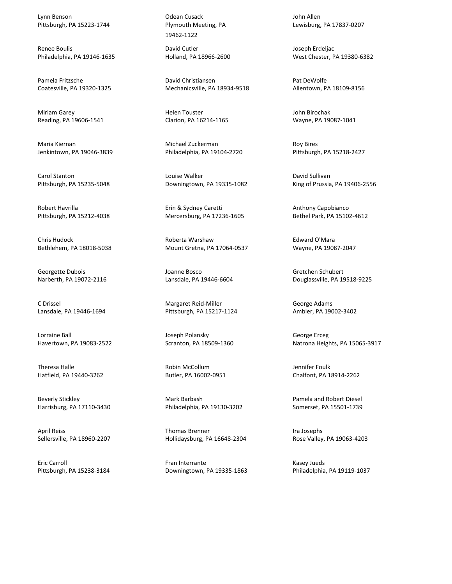Lynn Benson Pittsburgh, PA 15223-1744

Renee Boulis Philadelphia, PA 19146-1635

Pamela Fritzsche Coatesville, PA 19320-1325

Miriam Garey Reading, PA 19606-1541

Maria Kiernan Jenkintown, PA 19046-3839

Carol Stanton Pittsburgh, PA 15235-5048

Robert Havrilla Pittsburgh, PA 15212-4038

Chris Hudock Bethlehem, PA 18018-5038

Georgette Dubois Narberth, PA 19072-2116

C Drissel Lansdale, PA 19446-1694

Lorraine Ball Havertown, PA 19083-2522

Theresa Halle Hatfield, PA 19440-3262

Beverly Stickley Harrisburg, PA 17110-3430

April Reiss Sellersville, PA 18960-2207

Eric Carroll Pittsburgh, PA 15238-3184 Odean Cusack Plymouth Meeting, PA 19462-1122

David Cutler Holland, PA 18966-2600

David Christiansen Mechanicsville, PA 18934-9518

Helen Touster Clarion, PA 16214-1165

Michael Zuckerman Philadelphia, PA 19104-2720

Louise Walker Downingtown, PA 19335-1082

Erin & Sydney Caretti Mercersburg, PA 17236-1605

Roberta Warshaw Mount Gretna, PA 17064-0537

Joanne Bosco Lansdale, PA 19446-6604

Margaret Reid-Miller Pittsburgh, PA 15217-1124

Joseph Polansky Scranton, PA 18509-1360

Robin McCollum Butler, PA 16002-0951

Mark Barbash Philadelphia, PA 19130-3202

Thomas Brenner Hollidaysburg, PA 16648-2304

Fran Interrante Downingtown, PA 19335-1863 John Allen Lewisburg, PA 17837-0207

Joseph Erdeljac West Chester, PA 19380-6382

Pat DeWolfe Allentown, PA 18109-8156

John Birochak Wayne, PA 19087-1041

Roy Bires Pittsburgh, PA 15218-2427

David Sullivan King of Prussia, PA 19406-2556

Anthony Capobianco Bethel Park, PA 15102-4612

Edward O'Mara Wayne, PA 19087-2047

Gretchen Schubert Douglassville, PA 19518-9225

George Adams Ambler, PA 19002-3402

George Erceg Natrona Heights, PA 15065-3917

Jennifer Foulk Chalfont, PA 18914-2262

Pamela and Robert Diesel Somerset, PA 15501-1739

Ira Josephs Rose Valley, PA 19063-4203

Kasey Jueds Philadelphia, PA 19119-1037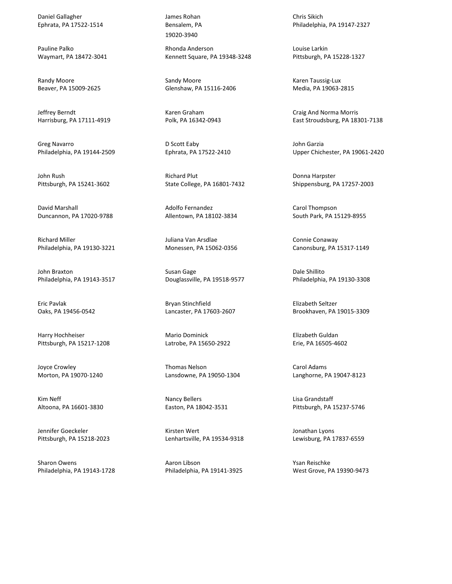Daniel Gallagher Ephrata, PA 17522-1514

Pauline Palko Waymart, PA 18472-3041

Randy Moore Beaver, PA 15009-2625

Jeffrey Berndt Harrisburg, PA 17111-4919

Greg Navarro Philadelphia, PA 19144-2509

John Rush Pittsburgh, PA 15241-3602

David Marshall Duncannon, PA 17020-9788

Richard Miller Philadelphia, PA 19130-3221

John Braxton Philadelphia, PA 19143-3517

Eric Pavlak Oaks, PA 19456-0542

Harry Hochheiser Pittsburgh, PA 15217-1208

Joyce Crowley Morton, PA 19070-1240

Kim Neff Altoona, PA 16601-3830

Jennifer Goeckeler Pittsburgh, PA 15218-2023

Sharon Owens Philadelphia, PA 19143-1728 James Rohan Bensalem, PA 19020-3940

Rhonda Anderson Kennett Square, PA 19348-3248

Sandy Moore Glenshaw, PA 15116-2406

Karen Graham Polk, PA 16342-0943

D Scott Eaby Ephrata, PA 17522-2410

Richard Plut State College, PA 16801-7432

Adolfo Fernandez Allentown, PA 18102-3834

Juliana Van Arsdlae Monessen, PA 15062-0356

Susan Gage Douglassville, PA 19518-9577

Bryan Stinchfield Lancaster, PA 17603-2607

Mario Dominick Latrobe, PA 15650-2922

Thomas Nelson Lansdowne, PA 19050-1304

Nancy Bellers Easton, PA 18042-3531

Kirsten Wert Lenhartsville, PA 19534-9318

Aaron Libson Philadelphia, PA 19141-3925 Chris Sikich Philadelphia, PA 19147-2327

Louise Larkin Pittsburgh, PA 15228-1327

Karen Taussig-Lux Media, PA 19063-2815

Craig And Norma Morris East Stroudsburg, PA 18301-7138

John Garzia Upper Chichester, PA 19061-2420

Donna Harpster Shippensburg, PA 17257-2003

Carol Thompson South Park, PA 15129-8955

Connie Conaway Canonsburg, PA 15317-1149

Dale Shillito Philadelphia, PA 19130-3308

Elizabeth Seltzer Brookhaven, PA 19015-3309

Elizabeth Guldan Erie, PA 16505-4602

Carol Adams Langhorne, PA 19047-8123

Lisa Grandstaff Pittsburgh, PA 15237-5746

Jonathan Lyons Lewisburg, PA 17837-6559

Ysan Reischke West Grove, PA 19390-9473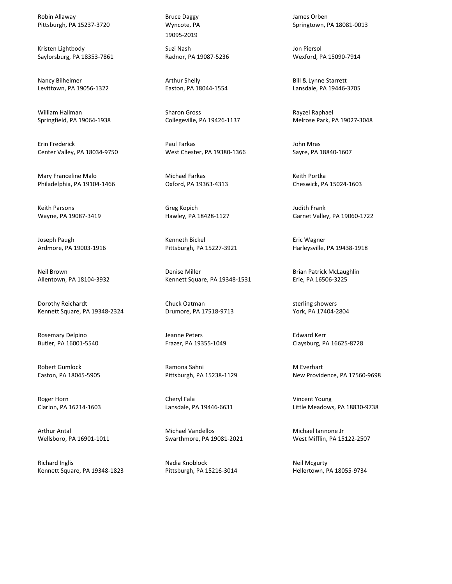Robin Allaway Pittsburgh, PA 15237-3720

Kristen Lightbody Saylorsburg, PA 18353-7861

Nancy Bilheimer Levittown, PA 19056-1322

William Hallman Springfield, PA 19064-1938

Erin Frederick Center Valley, PA 18034-9750

Mary Franceline Malo Philadelphia, PA 19104-1466

Keith Parsons Wayne, PA 19087-3419

Joseph Paugh Ardmore, PA 19003-1916

Neil Brown Allentown, PA 18104-3932

Dorothy Reichardt Kennett Square, PA 19348-2324

Rosemary Delpino Butler, PA 16001-5540

Robert Gumlock Easton, PA 18045-5905

Roger Horn Clarion, PA 16214-1603

Arthur Antal Wellsboro, PA 16901-1011

Richard Inglis Kennett Square, PA 19348-1823 Bruce Daggy Wyncote, PA 19095-2019

Suzi Nash Radnor, PA 19087-5236

Arthur Shelly Easton, PA 18044-1554

Sharon Gross Collegeville, PA 19426-1137

Paul Farkas West Chester, PA 19380-1366

Michael Farkas Oxford, PA 19363-4313

Greg Kopich Hawley, PA 18428-1127

Kenneth Bickel Pittsburgh, PA 15227-3921

Denise Miller Kennett Square, PA 19348-1531

Chuck Oatman Drumore, PA 17518-9713

Jeanne Peters Frazer, PA 19355-1049

Ramona Sahni Pittsburgh, PA 15238-1129

Cheryl Fala Lansdale, PA 19446-6631

Michael Vandellos Swarthmore, PA 19081-2021

Nadia Knoblock Pittsburgh, PA 15216-3014 James Orben Springtown, PA 18081-0013

Jon Piersol Wexford, PA 15090-7914

Bill & Lynne Starrett Lansdale, PA 19446-3705

Rayzel Raphael Melrose Park, PA 19027-3048

John Mras Sayre, PA 18840-1607

Keith Portka Cheswick, PA 15024-1603

Judith Frank Garnet Valley, PA 19060-1722

Eric Wagner Harleysville, PA 19438-1918

Brian Patrick McLaughlin Erie, PA 16506-3225

sterling showers York, PA 17404-2804

Edward Kerr Claysburg, PA 16625-8728

M Everhart New Providence, PA 17560-9698

Vincent Young Little Meadows, PA 18830-9738

Michael Iannone Jr West Mifflin, PA 15122-2507

Neil Mcgurty Hellertown, PA 18055-9734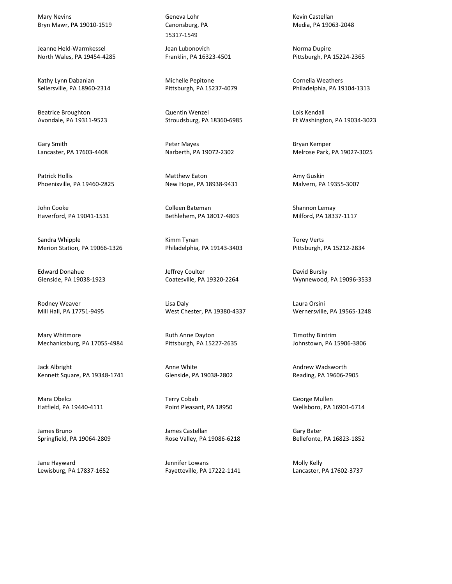Mary Nevins Bryn Mawr, PA 19010-1519

Jeanne Held-Warmkessel North Wales, PA 19454-4285

Kathy Lynn Dabanian Sellersville, PA 18960-2314

Beatrice Broughton Avondale, PA 19311-9523

Gary Smith Lancaster, PA 17603-4408

Patrick Hollis Phoenixville, PA 19460-2825

John Cooke Haverford, PA 19041-1531

Sandra Whipple Merion Station, PA 19066-1326

Edward Donahue Glenside, PA 19038-1923

Rodney Weaver Mill Hall, PA 17751-9495

Mary Whitmore Mechanicsburg, PA 17055-4984

Jack Albright Kennett Square, PA 19348-1741

Mara Obelcz Hatfield, PA 19440-4111

James Bruno Springfield, PA 19064-2809

Jane Hayward Lewisburg, PA 17837-1652 Geneva Lohr Canonsburg, PA 15317-1549

Jean Lubonovich Franklin, PA 16323-4501

Michelle Pepitone Pittsburgh, PA 15237-4079

Quentin Wenzel Stroudsburg, PA 18360-6985

Peter Mayes Narberth, PA 19072-2302

Matthew Eaton New Hope, PA 18938-9431

Colleen Bateman Bethlehem, PA 18017-4803

Kimm Tynan Philadelphia, PA 19143-3403

Jeffrey Coulter Coatesville, PA 19320-2264

Lisa Daly West Chester, PA 19380-4337

Ruth Anne Dayton Pittsburgh, PA 15227-2635

Anne White Glenside, PA 19038-2802

Terry Cobab Point Pleasant, PA 18950

James Castellan Rose Valley, PA 19086-6218

Jennifer Lowans Fayetteville, PA 17222-1141 Kevin Castellan Media, PA 19063-2048

Norma Dupire Pittsburgh, PA 15224-2365

Cornelia Weathers Philadelphia, PA 19104-1313

Lois Kendall Ft Washington, PA 19034-3023

Bryan Kemper Melrose Park, PA 19027-3025

Amy Guskin Malvern, PA 19355-3007

Shannon Lemay Milford, PA 18337-1117

Torey Verts Pittsburgh, PA 15212-2834

David Bursky Wynnewood, PA 19096-3533

Laura Orsini Wernersville, PA 19565-1248

Timothy Bintrim Johnstown, PA 15906-3806

Andrew Wadsworth Reading, PA 19606-2905

George Mullen Wellsboro, PA 16901-6714

Gary Bater Bellefonte, PA 16823-1852

Molly Kelly Lancaster, PA 17602-3737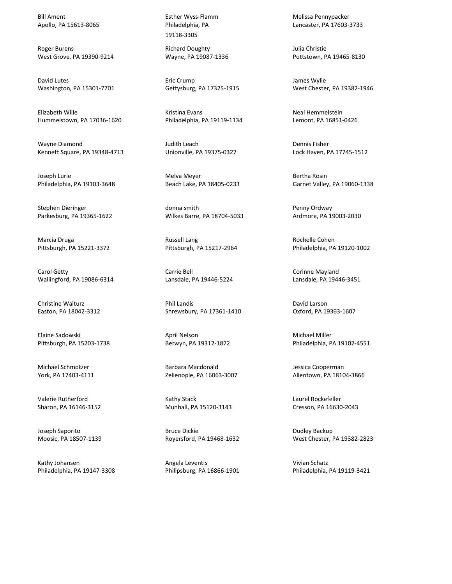Bill Ament Apollo, PA 15613-8065

Roger Burens West Grove, PA 19390-9214

David Lutes Washington, PA 15301-7701

Elizabeth Wille Hummelstown, PA 17036-1620

Wayne Diamond Kennett Square, PA 19348-4713

Joseph Lurie Philadelphia, PA 19103-3648

Stephen Dieringer Parkesburg, PA 19365-1622

Marcia Druga Pittsburgh, PA 15221-3372

Carol Getty Wallingford, PA 19086-6314

Christine Walturz Easton, PA 18042-3312

Elaine Sadowski Pittsburgh, PA 15203-1738

Michael Schmotzer York, PA 17403-4111

Valerie Rutherford Sharon, PA 16146-3152

Joseph Saporito Moosic, PA 18507-1139

Kathy Johansen Philadelphia, PA 19147-3308 Esther Wyss-Flamm Philadelphia, PA 19118-3305

Richard Doughty Wayne, PA 19087-1336

Eric Crump Gettysburg, PA 17325-1915

Kristina Evans Philadelphia, PA 19119-1134

Judith Leach Unionville, PA 19375-0327

Melva Meyer Beach Lake, PA 18405-0233

donna smith Wilkes Barre, PA 18704-5033

Russell Lang Pittsburgh, PA 15217-2964

Carrie Bell Lansdale, PA 19446-5224

Phil Landis Shrewsbury, PA 17361-1410

April Nelson Berwyn, PA 19312-1872

Barbara Macdonald Zelienople, PA 16063-3007

Kathy Stack Munhall, PA 15120-3143

Bruce Dickie Royersford, PA 19468-1632

Angela Leventis Philipsburg, PA 16866-1901 Melissa Pennypacker Lancaster, PA 17603-3733

Julia Christie Pottstown, PA 19465-8130

James Wylie West Chester, PA 19382-1946

Neal Hemmelstein Lemont, PA 16851-0426

Dennis Fisher Lock Haven, PA 17745-1512

Bertha Rosin Garnet Valley, PA 19060-1338

Penny Ordway Ardmore, PA 19003-2030

Rochelle Cohen Philadelphia, PA 19120-1002

Corinne Mayland Lansdale, PA 19446-3451

David Larson Oxford, PA 19363-1607

Michael Miller Philadelphia, PA 19102-4551

Jessica Cooperman Allentown, PA 18104-3866

Laurel Rockefeller Cresson, PA 16630-2043

Dudley Backup West Chester, PA 19382-2823

Vivian Schatz Philadelphia, PA 19119-3421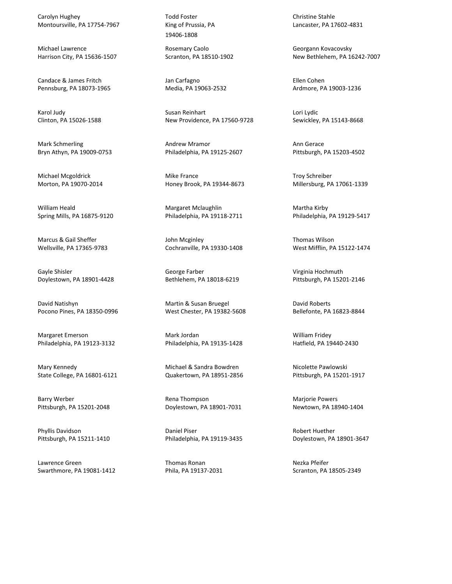Carolyn Hughey Montoursville, PA 17754-7967

Michael Lawrence Harrison City, PA 15636-1507

Candace & James Fritch Pennsburg, PA 18073-1965

Karol Judy Clinton, PA 15026-1588

Mark Schmerling Bryn Athyn, PA 19009-0753

Michael Mcgoldrick Morton, PA 19070-2014

William Heald Spring Mills, PA 16875-9120

Marcus & Gail Sheffer Wellsville, PA 17365-9783

Gayle Shisler Doylestown, PA 18901-4428

David Natishyn Pocono Pines, PA 18350-0996

Margaret Emerson Philadelphia, PA 19123-3132

Mary Kennedy State College, PA 16801-6121

Barry Werber Pittsburgh, PA 15201-2048

Phyllis Davidson Pittsburgh, PA 15211-1410

Lawrence Green Swarthmore, PA 19081-1412 Todd Foster King of Prussia, PA 19406-1808

Rosemary Caolo Scranton, PA 18510-1902

Jan Carfagno Media, PA 19063-2532

Susan Reinhart New Providence, PA 17560-9728

Andrew Mramor Philadelphia, PA 19125-2607

Mike France Honey Brook, PA 19344-8673

Margaret Mclaughlin Philadelphia, PA 19118-2711

John Mcginley Cochranville, PA 19330-1408

George Farber Bethlehem, PA 18018-6219

Martin & Susan Bruegel West Chester, PA 19382-5608

Mark Jordan Philadelphia, PA 19135-1428

Michael & Sandra Bowdren Quakertown, PA 18951-2856

Rena Thompson Doylestown, PA 18901-7031

Daniel Piser Philadelphia, PA 19119-3435

Thomas Ronan Phila, PA 19137-2031 Christine Stahle Lancaster, PA 17602-4831

Georgann Kovacovsky New Bethlehem, PA 16242-7007

Ellen Cohen Ardmore, PA 19003-1236

Lori Lydic Sewickley, PA 15143-8668

Ann Gerace Pittsburgh, PA 15203-4502

Troy Schreiber Millersburg, PA 17061-1339

Martha Kirby Philadelphia, PA 19129-5417

Thomas Wilson West Mifflin, PA 15122-1474

Virginia Hochmuth Pittsburgh, PA 15201-2146

David Roberts Bellefonte, PA 16823-8844

William Fridey Hatfield, PA 19440-2430

Nicolette Pawlowski Pittsburgh, PA 15201-1917

Marjorie Powers Newtown, PA 18940-1404

Robert Huether Doylestown, PA 18901-3647

Nezka Pfeifer Scranton, PA 18505-2349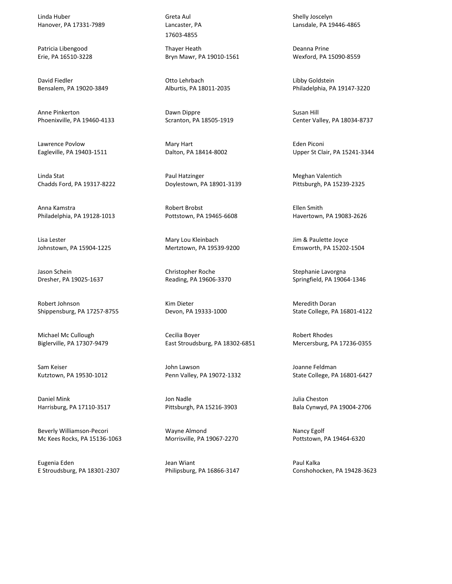Linda Huber Hanover, PA 17331-7989

Patricia Libengood Erie, PA 16510-3228

David Fiedler Bensalem, PA 19020-3849

Anne Pinkerton Phoenixville, PA 19460-4133

Lawrence Povlow Eagleville, PA 19403-1511

Linda Stat Chadds Ford, PA 19317-8222

Anna Kamstra Philadelphia, PA 19128-1013

Lisa Lester Johnstown, PA 15904-1225

Jason Schein Dresher, PA 19025-1637

Robert Johnson Shippensburg, PA 17257-8755

Michael Mc Cullough Biglerville, PA 17307-9479

Sam Keiser Kutztown, PA 19530-1012

Daniel Mink Harrisburg, PA 17110-3517

Beverly Williamson-Pecori Mc Kees Rocks, PA 15136-1063

Eugenia Eden E Stroudsburg, PA 18301-2307 Greta Aul Lancaster, PA 17603-4855

Thayer Heath Bryn Mawr, PA 19010-1561

Otto Lehrbach Alburtis, PA 18011-2035

Dawn Dippre Scranton, PA 18505-1919

Mary Hart Dalton, PA 18414-8002

Paul Hatzinger Doylestown, PA 18901-3139

Robert Brobst Pottstown, PA 19465-6608

Mary Lou Kleinbach Mertztown, PA 19539-9200

Christopher Roche Reading, PA 19606-3370

Kim Dieter Devon, PA 19333-1000

Cecilia Boyer East Stroudsburg, PA 18302-6851

John Lawson Penn Valley, PA 19072-1332

Jon Nadle Pittsburgh, PA 15216-3903

Wayne Almond Morrisville, PA 19067-2270

Jean Wiant Philipsburg, PA 16866-3147 Shelly Joscelyn Lansdale, PA 19446-4865

Deanna Prine Wexford, PA 15090-8559

Libby Goldstein Philadelphia, PA 19147-3220

Susan Hill Center Valley, PA 18034-8737

Eden Piconi Upper St Clair, PA 15241-3344

Meghan Valentich Pittsburgh, PA 15239-2325

Ellen Smith Havertown, PA 19083-2626

Jim & Paulette Joyce Emsworth, PA 15202-1504

Stephanie Lavorgna Springfield, PA 19064-1346

Meredith Doran State College, PA 16801-4122

Robert Rhodes Mercersburg, PA 17236-0355

Joanne Feldman State College, PA 16801-6427

Julia Cheston Bala Cynwyd, PA 19004-2706

Nancy Egolf Pottstown, PA 19464-6320

Paul Kalka Conshohocken, PA 19428-3623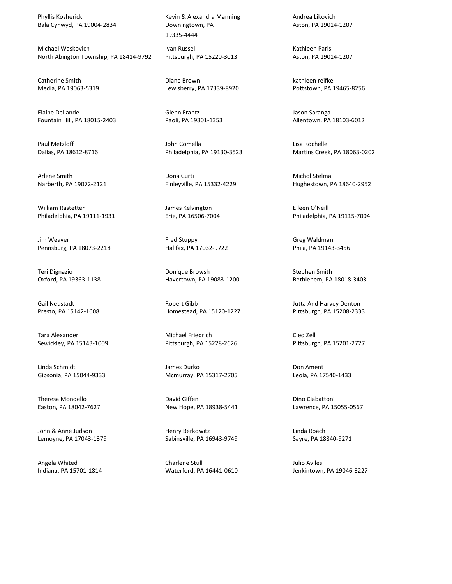Phyllis Kosherick Bala Cynwyd, PA 19004-2834

Michael Waskovich North Abington Township, PA 18414-9792

Catherine Smith Media, PA 19063-5319

Elaine Dellande Fountain Hill, PA 18015-2403

Paul Metzloff Dallas, PA 18612-8716

Arlene Smith Narberth, PA 19072-2121

William Rastetter Philadelphia, PA 19111-1931

Jim Weaver Pennsburg, PA 18073-2218

Teri Dignazio Oxford, PA 19363-1138

Gail Neustadt Presto, PA 15142-1608

Tara Alexander Sewickley, PA 15143-1009

Linda Schmidt Gibsonia, PA 15044-9333

Theresa Mondello Easton, PA 18042-7627

John & Anne Judson Lemoyne, PA 17043-1379

Angela Whited Indiana, PA 15701-1814 Kevin & Alexandra Manning Downingtown, PA 19335-4444

Ivan Russell Pittsburgh, PA 15220-3013

Diane Brown Lewisberry, PA 17339-8920

Glenn Frantz Paoli, PA 19301-1353

John Comella Philadelphia, PA 19130-3523

Dona Curti Finleyville, PA 15332-4229

James Kelvington Erie, PA 16506-7004

Fred Stuppy Halifax, PA 17032-9722

Donique Browsh Havertown, PA 19083-1200

Robert Gibb Homestead, PA 15120-1227

Michael Friedrich Pittsburgh, PA 15228-2626

James Durko Mcmurray, PA 15317-2705

David Giffen New Hope, PA 18938-5441

Henry Berkowitz Sabinsville, PA 16943-9749

Charlene Stull Waterford, PA 16441-0610 Andrea Likovich Aston, PA 19014-1207

Kathleen Parisi Aston, PA 19014-1207

kathleen reifke Pottstown, PA 19465-8256

Jason Saranga Allentown, PA 18103-6012

Lisa Rochelle Martins Creek, PA 18063-0202

Michol Stelma Hughestown, PA 18640-2952

Eileen O'Neill Philadelphia, PA 19115-7004

Greg Waldman Phila, PA 19143-3456

Stephen Smith Bethlehem, PA 18018-3403

Jutta And Harvey Denton Pittsburgh, PA 15208-2333

Cleo Zell Pittsburgh, PA 15201-2727

Don Ament Leola, PA 17540-1433

Dino Ciabattoni Lawrence, PA 15055-0567

Linda Roach Sayre, PA 18840-9271

Julio Aviles Jenkintown, PA 19046-3227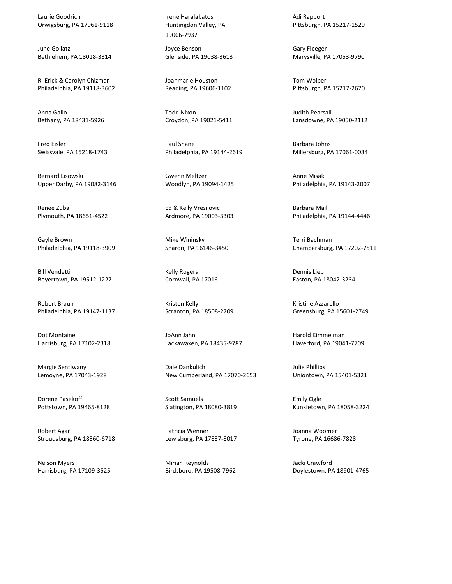Laurie Goodrich Orwigsburg, PA 17961-9118

June Gollatz Bethlehem, PA 18018-3314

R. Erick & Carolyn Chizmar Philadelphia, PA 19118-3602

Anna Gallo Bethany, PA 18431-5926

Fred Eisler Swissvale, PA 15218-1743

Bernard Lisowski Upper Darby, PA 19082-3146

Renee Zuba Plymouth, PA 18651-4522

Gayle Brown Philadelphia, PA 19118-3909

Bill Vendetti Boyertown, PA 19512-1227

Robert Braun Philadelphia, PA 19147-1137

Dot Montaine Harrisburg, PA 17102-2318

Margie Sentiwany Lemoyne, PA 17043-1928

Dorene Pasekoff Pottstown, PA 19465-8128

Robert Agar Stroudsburg, PA 18360-6718

Nelson Myers Harrisburg, PA 17109-3525 Irene Haralabatos Huntingdon Valley, PA 19006-7937

Joyce Benson Glenside, PA 19038-3613

Joanmarie Houston Reading, PA 19606-1102

Todd Nixon Croydon, PA 19021-5411

Paul Shane Philadelphia, PA 19144-2619

Gwenn Meltzer Woodlyn, PA 19094-1425

Ed & Kelly Vresilovic Ardmore, PA 19003-3303

Mike Wininsky Sharon, PA 16146-3450

Kelly Rogers Cornwall, PA 17016

Kristen Kelly Scranton, PA 18508-2709

JoAnn Jahn Lackawaxen, PA 18435-9787

Dale Dankulich New Cumberland, PA 17070-2653

Scott Samuels Slatington, PA 18080-3819

Patricia Wenner Lewisburg, PA 17837-8017

Miriah Reynolds Birdsboro, PA 19508-7962 Adi Rapport Pittsburgh, PA 15217-1529

Gary Fleeger Marysville, PA 17053-9790

Tom Wolper Pittsburgh, PA 15217-2670

Judith Pearsall Lansdowne, PA 19050-2112

Barbara Johns Millersburg, PA 17061-0034

Anne Misak Philadelphia, PA 19143-2007

Barbara Mail Philadelphia, PA 19144-4446

Terri Bachman Chambersburg, PA 17202-7511

Dennis Lieb Easton, PA 18042-3234

Kristine Azzarello Greensburg, PA 15601-2749

Harold Kimmelman Haverford, PA 19041-7709

Julie Phillips Uniontown, PA 15401-5321

Emily Ogle Kunkletown, PA 18058-3224

Joanna Woomer Tyrone, PA 16686-7828

Jacki Crawford Doylestown, PA 18901-4765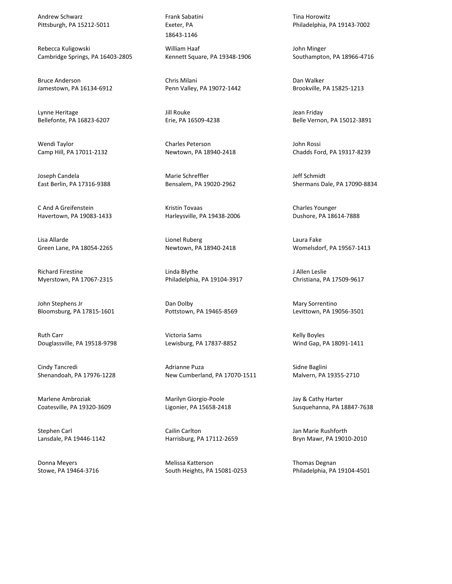Andrew Schwarz Pittsburgh, PA 15212-5011

Rebecca Kuligowski Cambridge Springs, PA 16403-2805

Bruce Anderson Jamestown, PA 16134-6912

Lynne Heritage Bellefonte, PA 16823-6207

Wendi Taylor Camp Hill, PA 17011-2132

Joseph Candela East Berlin, PA 17316-9388

C And A Greifenstein Havertown, PA 19083-1433

Lisa Allarde Green Lane, PA 18054-2265

Richard Firestine Myerstown, PA 17067-2315

John Stephens Jr Bloomsburg, PA 17815-1601

Ruth Carr Douglassville, PA 19518-9798

Cindy Tancredi Shenandoah, PA 17976-1228

Marlene Ambroziak Coatesville, PA 19320-3609

Stephen Carl Lansdale, PA 19446-1142

Donna Meyers Stowe, PA 19464-3716 Frank Sabatini Exeter, PA 18643-1146

William Haaf Kennett Square, PA 19348-1906

Chris Milani Penn Valley, PA 19072-1442

Jill Rouke Erie, PA 16509-4238

Charles Peterson Newtown, PA 18940-2418

Marie Schreffler Bensalem, PA 19020-2962

Kristin Tovaas Harleysville, PA 19438-2006

Lionel Ruberg Newtown, PA 18940-2418

Linda Blythe Philadelphia, PA 19104-3917

Dan Dolby Pottstown, PA 19465-8569

Victoria Sams Lewisburg, PA 17837-8852

Adrianne Puza New Cumberland, PA 17070-1511

Marilyn Giorgio-Poole Ligonier, PA 15658-2418

Cailin Carlton Harrisburg, PA 17112-2659

Melissa Katterson South Heights, PA 15081-0253 Tina Horowitz Philadelphia, PA 19143-7002

John Minger Southampton, PA 18966-4716

Dan Walker Brookville, PA 15825-1213

Jean Friday Belle Vernon, PA 15012-3891

John Rossi Chadds Ford, PA 19317-8239

Jeff Schmidt Shermans Dale, PA 17090-8834

Charles Younger Dushore, PA 18614-7888

Laura Fake Womelsdorf, PA 19567-1413

J Allen Leslie Christiana, PA 17509-9617

Mary Sorrentino Levittown, PA 19056-3501

Kelly Boyles Wind Gap, PA 18091-1411

Sidne Baglini Malvern, PA 19355-2710

Jay & Cathy Harter Susquehanna, PA 18847-7638

Jan Marie Rushforth Bryn Mawr, PA 19010-2010

Thomas Degnan Philadelphia, PA 19104-4501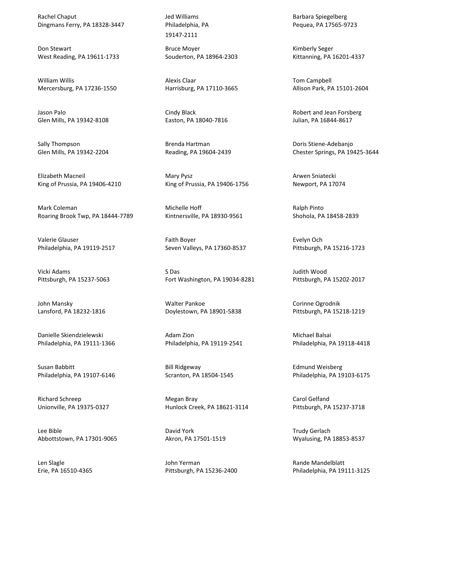Rachel Chaput Dingmans Ferry, PA 18328-3447

Don Stewart West Reading, PA 19611-1733

William Willis Mercersburg, PA 17236-1550

Jason Palo Glen Mills, PA 19342-8108

Sally Thompson Glen Mills, PA 19342-2204

Elizabeth Macneil King of Prussia, PA 19406-4210

Mark Coleman Roaring Brook Twp, PA 18444-7789

Valerie Glauser Philadelphia, PA 19119-2517

Vicki Adams Pittsburgh, PA 15237-5063

John Mansky Lansford, PA 18232-1816

Danielle Skiendzielewski Philadelphia, PA 19111-1366

Susan Babbitt Philadelphia, PA 19107-6146

Richard Schreep Unionville, PA 19375-0327

Lee Bible Abbottstown, PA 17301-9065

Len Slagle Erie, PA 16510-4365 Jed Williams Philadelphia, PA 19147-2111

Bruce Moyer Souderton, PA 18964-2303

Alexis Claar Harrisburg, PA 17110-3665

Cindy Black Easton, PA 18040-7816

Brenda Hartman Reading, PA 19604-2439

Mary Pysz King of Prussia, PA 19406-1756

Michelle Hoff Kintnersville, PA 18930-9561

Faith Boyer Seven Valleys, PA 17360-8537

S Das Fort Washington, PA 19034-8281

Walter Pankoe Doylestown, PA 18901-5838

Adam Zion Philadelphia, PA 19119-2541

Bill Ridgeway Scranton, PA 18504-1545

Megan Bray Hunlock Creek, PA 18621-3114

David York Akron, PA 17501-1519

John Yerman Pittsburgh, PA 15236-2400 Barbara Spiegelberg Pequea, PA 17565-9723

Kimberly Seger Kittanning, PA 16201-4337

Tom Campbell Allison Park, PA 15101-2604

Robert and Jean Forsberg Julian, PA 16844-8617

Doris Stiene-Adebanjo Chester Springs, PA 19425-3644

Arwen Sniatecki Newport, PA 17074

Ralph Pinto Shohola, PA 18458-2839

Evelyn Och Pittsburgh, PA 15216-1723

Judith Wood Pittsburgh, PA 15202-2017

Corinne Ogrodnik Pittsburgh, PA 15218-1219

Michael Balsai Philadelphia, PA 19118-4418

Edmund Weisberg Philadelphia, PA 19103-6175

Carol Gelfand Pittsburgh, PA 15237-3718

Trudy Gerlach Wyalusing, PA 18853-8537

Rande Mandelblatt Philadelphia, PA 19111-3125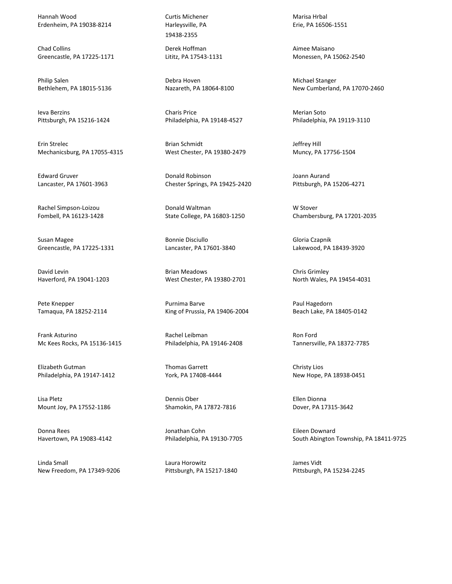Hannah Wood Erdenheim, PA 19038-8214

Chad Collins Greencastle, PA 17225-1171

Philip Salen Bethlehem, PA 18015-5136

Ieva Berzins Pittsburgh, PA 15216-1424

Erin Strelec Mechanicsburg, PA 17055-4315

Edward Gruver Lancaster, PA 17601-3963

Rachel Simpson-Loizou Fombell, PA 16123-1428

Susan Magee Greencastle, PA 17225-1331

David Levin Haverford, PA 19041-1203

Pete Knepper Tamaqua, PA 18252-2114

Frank Asturino Mc Kees Rocks, PA 15136-1415

Elizabeth Gutman Philadelphia, PA 19147-1412

Lisa Pletz Mount Joy, PA 17552-1186

Donna Rees Havertown, PA 19083-4142

Linda Small New Freedom, PA 17349-9206 Curtis Michener Harleysville, PA 19438-2355

Derek Hoffman Lititz, PA 17543-1131

Debra Hoven Nazareth, PA 18064-8100

Charis Price Philadelphia, PA 19148-4527

Brian Schmidt West Chester, PA 19380-2479

Donald Robinson Chester Springs, PA 19425-2420

Donald Waltman State College, PA 16803-1250

Bonnie Disciullo Lancaster, PA 17601-3840

Brian Meadows West Chester, PA 19380-2701

Purnima Barve King of Prussia, PA 19406-2004

Rachel Leibman Philadelphia, PA 19146-2408

Thomas Garrett York, PA 17408-4444

Dennis Ober Shamokin, PA 17872-7816

Jonathan Cohn Philadelphia, PA 19130-7705

Laura Horowitz Pittsburgh, PA 15217-1840 Marisa Hrbal Erie, PA 16506-1551

Aimee Maisano Monessen, PA 15062-2540

Michael Stanger New Cumberland, PA 17070-2460

Merian Soto Philadelphia, PA 19119-3110

Jeffrey Hill Muncy, PA 17756-1504

Joann Aurand Pittsburgh, PA 15206-4271

W Stover Chambersburg, PA 17201-2035

Gloria Czapnik Lakewood, PA 18439-3920

Chris Grimley North Wales, PA 19454-4031

Paul Hagedorn Beach Lake, PA 18405-0142

Ron Ford Tannersville, PA 18372-7785

Christy Lios New Hope, PA 18938-0451

Ellen Dionna Dover, PA 17315-3642

Eileen Downard South Abington Township, PA 18411-9725

James Vidt Pittsburgh, PA 15234-2245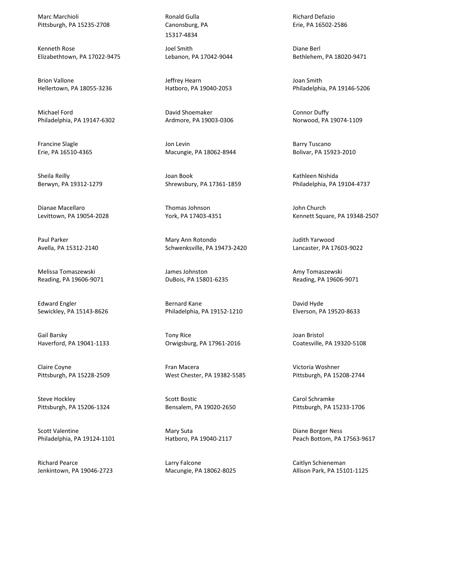Marc Marchioli Pittsburgh, PA 15235-2708

Kenneth Rose Elizabethtown, PA 17022-9475

Brion Vallone Hellertown, PA 18055-3236

Michael Ford Philadelphia, PA 19147-6302

Francine Slagle Erie, PA 16510-4365

Sheila Reilly Berwyn, PA 19312-1279

Dianae Macellaro Levittown, PA 19054-2028

Paul Parker Avella, PA 15312-2140

Melissa Tomaszewski Reading, PA 19606-9071

Edward Engler Sewickley, PA 15143-8626

Gail Barsky Haverford, PA 19041-1133

Claire Coyne Pittsburgh, PA 15228-2509

Steve Hockley Pittsburgh, PA 15206-1324

Scott Valentine Philadelphia, PA 19124-1101

Richard Pearce Jenkintown, PA 19046-2723 Ronald Gulla Canonsburg, PA 15317-4834

Joel Smith Lebanon, PA 17042-9044

Jeffrey Hearn Hatboro, PA 19040-2053

David Shoemaker Ardmore, PA 19003-0306

Jon Levin Macungie, PA 18062-8944

Joan Book Shrewsbury, PA 17361-1859

Thomas Johnson York, PA 17403-4351

Mary Ann Rotondo Schwenksville, PA 19473-2420

James Johnston DuBois, PA 15801-6235

Bernard Kane Philadelphia, PA 19152-1210

Tony Rice Orwigsburg, PA 17961-2016

Fran Macera West Chester, PA 19382-5585

Scott Bostic Bensalem, PA 19020-2650

Mary Suta Hatboro, PA 19040-2117

Larry Falcone Macungie, PA 18062-8025

Richard Defazio Erie, PA 16502-2586

Diane Berl Bethlehem, PA 18020-9471

Joan Smith Philadelphia, PA 19146-5206

Connor Duffy Norwood, PA 19074-1109

Barry Tuscano Bolivar, PA 15923-2010

Kathleen Nishida Philadelphia, PA 19104-4737

John Church Kennett Square, PA 19348-2507

Judith Yarwood Lancaster, PA 17603-9022

Amy Tomaszewski Reading, PA 19606-9071

David Hyde Elverson, PA 19520-8633

Joan Bristol Coatesville, PA 19320-5108

Victoria Woshner Pittsburgh, PA 15208-2744

Carol Schramke Pittsburgh, PA 15233-1706

Diane Borger Ness Peach Bottom, PA 17563-9617

Caitlyn Schieneman Allison Park, PA 15101-1125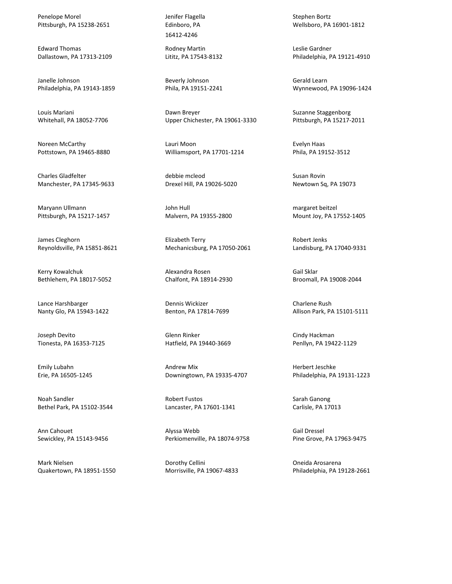Penelope Morel Pittsburgh, PA 15238-2651

Edward Thomas Dallastown, PA 17313-2109

Janelle Johnson Philadelphia, PA 19143-1859

Louis Mariani Whitehall, PA 18052-7706

Noreen McCarthy Pottstown, PA 19465-8880

Charles Gladfelter Manchester, PA 17345-9633

Maryann Ullmann Pittsburgh, PA 15217-1457

James Cleghorn Reynoldsville, PA 15851-8621

Kerry Kowalchuk Bethlehem, PA 18017-5052

Lance Harshbarger Nanty Glo, PA 15943-1422

Joseph Devito Tionesta, PA 16353-7125

Emily Lubahn Erie, PA 16505-1245

Noah Sandler Bethel Park, PA 15102-3544

Ann Cahouet Sewickley, PA 15143-9456

Mark Nielsen Quakertown, PA 18951-1550 Jenifer Flagella Edinboro, PA 16412-4246

Rodney Martin Lititz, PA 17543-8132

Beverly Johnson Phila, PA 19151-2241

Dawn Breyer Upper Chichester, PA 19061-3330

Lauri Moon Williamsport, PA 17701-1214

debbie mcleod Drexel Hill, PA 19026-5020

John Hull Malvern, PA 19355-2800

Elizabeth Terry Mechanicsburg, PA 17050-2061

Alexandra Rosen Chalfont, PA 18914-2930

Dennis Wickizer Benton, PA 17814-7699

Glenn Rinker Hatfield, PA 19440-3669

Andrew Mix Downingtown, PA 19335-4707

Robert Fustos Lancaster, PA 17601-1341

Alyssa Webb Perkiomenville, PA 18074-9758

Dorothy Cellini Morrisville, PA 19067-4833 Stephen Bortz Wellsboro, PA 16901-1812

Leslie Gardner Philadelphia, PA 19121-4910

Gerald Learn Wynnewood, PA 19096-1424

Suzanne Staggenborg Pittsburgh, PA 15217-2011

Evelyn Haas Phila, PA 19152-3512

Susan Rovin Newtown Sq, PA 19073

margaret beitzel Mount Joy, PA 17552-1405

Robert Jenks Landisburg, PA 17040-9331

Gail Sklar Broomall, PA 19008-2044

Charlene Rush Allison Park, PA 15101-5111

Cindy Hackman Penllyn, PA 19422-1129

Herbert Jeschke Philadelphia, PA 19131-1223

Sarah Ganong Carlisle, PA 17013

Gail Dressel Pine Grove, PA 17963-9475

Oneida Arosarena Philadelphia, PA 19128-2661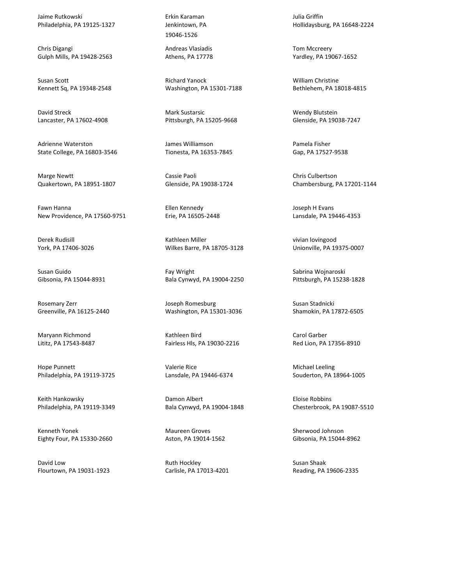Jaime Rutkowski Philadelphia, PA 19125-1327

Chris Digangi Gulph Mills, PA 19428-2563

Susan Scott Kennett Sq, PA 19348-2548

David Streck Lancaster, PA 17602-4908

Adrienne Waterston State College, PA 16803-3546

Marge Newtt Quakertown, PA 18951-1807

Fawn Hanna New Providence, PA 17560-9751

Derek Rudisill York, PA 17406-3026

Susan Guido Gibsonia, PA 15044-8931

Rosemary Zerr Greenville, PA 16125-2440

Maryann Richmond Lititz, PA 17543-8487

Hope Punnett Philadelphia, PA 19119-3725

Keith Hankowsky Philadelphia, PA 19119-3349

Kenneth Yonek Eighty Four, PA 15330-2660

David Low Flourtown, PA 19031-1923

Erkin Karaman Jenkintown, PA 19046-1526

Andreas Vlasiadis Athens, PA 17778

Richard Yanock Washington, PA 15301-7188

Mark Sustarsic Pittsburgh, PA 15205-9668

James Williamson Tionesta, PA 16353-7845

Cassie Paoli Glenside, PA 19038-1724

Ellen Kennedy Erie, PA 16505-2448

Kathleen Miller Wilkes Barre, PA 18705-3128

Fay Wright Bala Cynwyd, PA 19004-2250

Joseph Romesburg Washington, PA 15301-3036

Kathleen Bird Fairless Hls, PA 19030-2216

Valerie Rice Lansdale, PA 19446-6374

Damon Albert Bala Cynwyd, PA 19004-1848

Maureen Groves Aston, PA 19014-1562

Ruth Hockley Carlisle, PA 17013-4201 Julia Griffin Hollidaysburg, PA 16648-2224

Tom Mccreery Yardley, PA 19067-1652

William Christine Bethlehem, PA 18018-4815

Wendy Blutstein Glenside, PA 19038-7247

Pamela Fisher Gap, PA 17527-9538

Chris Culbertson Chambersburg, PA 17201-1144

Joseph H Evans Lansdale, PA 19446-4353

vivian lovingood Unionville, PA 19375-0007

Sabrina Wojnaroski Pittsburgh, PA 15238-1828

Susan Stadnicki Shamokin, PA 17872-6505

Carol Garber Red Lion, PA 17356-8910

Michael Leeling Souderton, PA 18964-1005

Eloise Robbins Chesterbrook, PA 19087-5510

Sherwood Johnson Gibsonia, PA 15044-8962

Susan Shaak Reading, PA 19606-2335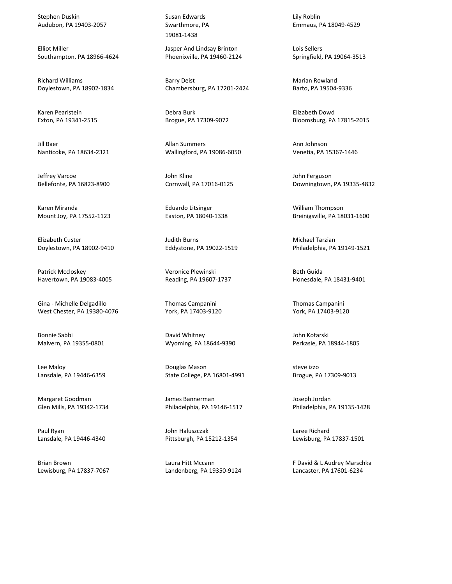Stephen Duskin Audubon, PA 19403-2057

Elliot Miller Southampton, PA 18966-4624

Richard Williams Doylestown, PA 18902-1834

Karen Pearlstein Exton, PA 19341-2515

Jill Baer Nanticoke, PA 18634-2321

Jeffrey Varcoe Bellefonte, PA 16823-8900

Karen Miranda Mount Joy, PA 17552-1123

Elizabeth Custer Doylestown, PA 18902-9410

Patrick Mccloskey Havertown, PA 19083-4005

Gina - Michelle Delgadillo West Chester, PA 19380-4076

Bonnie Sabbi Malvern, PA 19355-0801

Lee Maloy Lansdale, PA 19446-6359

Margaret Goodman Glen Mills, PA 19342-1734

Paul Ryan Lansdale, PA 19446-4340

Brian Brown Lewisburg, PA 17837-7067 Susan Edwards Swarthmore, PA 19081-1438

Jasper And Lindsay Brinton Phoenixville, PA 19460-2124

Barry Deist Chambersburg, PA 17201-2424

Debra Burk Brogue, PA 17309-9072

Allan Summers Wallingford, PA 19086-6050

John Kline Cornwall, PA 17016-0125

Eduardo Litsinger Easton, PA 18040-1338

Judith Burns Eddystone, PA 19022-1519

Veronice Plewinski Reading, PA 19607-1737

Thomas Campanini York, PA 17403-9120

David Whitney Wyoming, PA 18644-9390

Douglas Mason State College, PA 16801-4991

James Bannerman Philadelphia, PA 19146-1517

John Haluszczak Pittsburgh, PA 15212-1354

Laura Hitt Mccann Landenberg, PA 19350-9124 Lily Roblin Emmaus, PA 18049-4529

Lois Sellers Springfield, PA 19064-3513

Marian Rowland Barto, PA 19504-9336

Elizabeth Dowd Bloomsburg, PA 17815-2015

Ann Johnson Venetia, PA 15367-1446

John Ferguson Downingtown, PA 19335-4832

William Thompson Breinigsville, PA 18031-1600

Michael Tarzian Philadelphia, PA 19149-1521

Beth Guida Honesdale, PA 18431-9401

Thomas Campanini York, PA 17403-9120

John Kotarski Perkasie, PA 18944-1805

steve izzo Brogue, PA 17309-9013

Joseph Jordan Philadelphia, PA 19135-1428

Laree Richard Lewisburg, PA 17837-1501

F David & L Audrey Marschka Lancaster, PA 17601-6234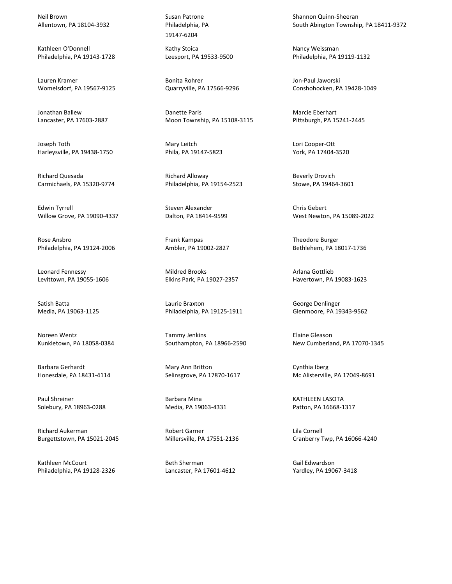Neil Brown Allentown, PA 18104-3932

Kathleen O'Donnell Philadelphia, PA 19143-1728

Lauren Kramer Womelsdorf, PA 19567-9125

Jonathan Ballew Lancaster, PA 17603-2887

Joseph Toth Harleysville, PA 19438-1750

Richard Quesada Carmichaels, PA 15320-9774

Edwin Tyrrell Willow Grove, PA 19090-4337

Rose Ansbro Philadelphia, PA 19124-2006

Leonard Fennessy Levittown, PA 19055-1606

Satish Batta Media, PA 19063-1125

Noreen Wentz Kunkletown, PA 18058-0384

Barbara Gerhardt Honesdale, PA 18431-4114

Paul Shreiner Solebury, PA 18963-0288

Richard Aukerman Burgettstown, PA 15021-2045

Kathleen McCourt Philadelphia, PA 19128-2326 Susan Patrone Philadelphia, PA 19147-6204

Kathy Stoica Leesport, PA 19533-9500

Bonita Rohrer Quarryville, PA 17566-9296

Danette Paris Moon Township, PA 15108-3115

Mary Leitch Phila, PA 19147-5823

Richard Alloway Philadelphia, PA 19154-2523

Steven Alexander Dalton, PA 18414-9599

Frank Kampas Ambler, PA 19002-2827

Mildred Brooks Elkins Park, PA 19027-2357

Laurie Braxton Philadelphia, PA 19125-1911

Tammy Jenkins Southampton, PA 18966-2590

Mary Ann Britton Selinsgrove, PA 17870-1617

Barbara Mina Media, PA 19063-4331

Robert Garner Millersville, PA 17551-2136

Beth Sherman Lancaster, PA 17601-4612 Shannon Quinn-Sheeran South Abington Township, PA 18411-9372

Nancy Weissman Philadelphia, PA 19119-1132

Jon-Paul Jaworski Conshohocken, PA 19428-1049

Marcie Eberhart Pittsburgh, PA 15241-2445

Lori Cooper-Ott York, PA 17404-3520

Beverly Drovich Stowe, PA 19464-3601

Chris Gebert West Newton, PA 15089-2022

Theodore Burger Bethlehem, PA 18017-1736

Arlana Gottlieb Havertown, PA 19083-1623

George Denlinger Glenmoore, PA 19343-9562

Elaine Gleason New Cumberland, PA 17070-1345

Cynthia Iberg Mc Alisterville, PA 17049-8691

KATHLEEN LASOTA Patton, PA 16668-1317

Lila Cornell Cranberry Twp, PA 16066-4240

Gail Edwardson Yardley, PA 19067-3418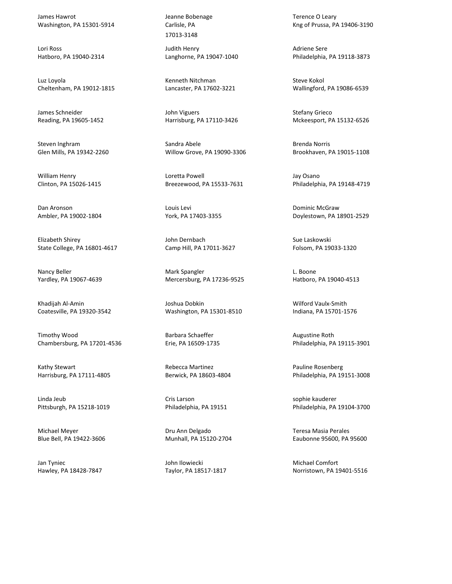James Hawrot Washington, PA 15301-5914

Lori Ross Hatboro, PA 19040-2314

Luz Loyola Cheltenham, PA 19012-1815

James Schneider Reading, PA 19605-1452

Steven Inghram Glen Mills, PA 19342-2260

William Henry Clinton, PA 15026-1415

Dan Aronson Ambler, PA 19002-1804

Elizabeth Shirey State College, PA 16801-4617

Nancy Beller Yardley, PA 19067-4639

Khadijah Al-Amin Coatesville, PA 19320-3542

Timothy Wood Chambersburg, PA 17201-4536

Kathy Stewart Harrisburg, PA 17111-4805

Linda Jeub Pittsburgh, PA 15218-1019

Michael Meyer Blue Bell, PA 19422-3606

Jan Tyniec Hawley, PA 18428-7847 Jeanne Bobenage Carlisle, PA 17013-3148

Judith Henry Langhorne, PA 19047-1040

Kenneth Nitchman Lancaster, PA 17602-3221

John Viguers Harrisburg, PA 17110-3426

Sandra Abele Willow Grove, PA 19090-3306

Loretta Powell Breezewood, PA 15533-7631

Louis Levi York, PA 17403-3355

John Dernbach Camp Hill, PA 17011-3627

Mark Spangler Mercersburg, PA 17236-9525

Joshua Dobkin Washington, PA 15301-8510

Barbara Schaeffer Erie, PA 16509-1735

Rebecca Martinez Berwick, PA 18603-4804

Cris Larson Philadelphia, PA 19151

Dru Ann Delgado Munhall, PA 15120-2704

John Ilowiecki Taylor, PA 18517-1817 Terence O Leary Kng of Prussa, PA 19406-3190

Adriene Sere Philadelphia, PA 19118-3873

Steve Kokol Wallingford, PA 19086-6539

Stefany Grieco Mckeesport, PA 15132-6526

Brenda Norris Brookhaven, PA 19015-1108

Jay Osano Philadelphia, PA 19148-4719

Dominic McGraw Doylestown, PA 18901-2529

Sue Laskowski Folsom, PA 19033-1320

L. Boone Hatboro, PA 19040-4513

Wilford Vaulx-Smith Indiana, PA 15701-1576

Augustine Roth Philadelphia, PA 19115-3901

Pauline Rosenberg Philadelphia, PA 19151-3008

sophie kauderer Philadelphia, PA 19104-3700

Teresa Masia Perales Eaubonne 95600, PA 95600

Michael Comfort Norristown, PA 19401-5516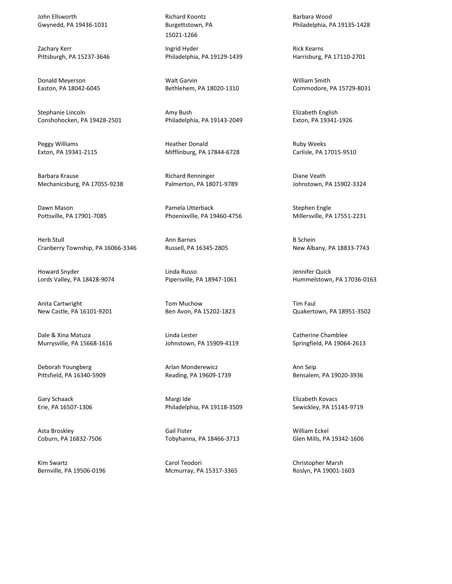John Ellsworth Gwynedd, PA 19436-1031

Zachary Kerr Pittsburgh, PA 15237-3646

Donald Meyerson Easton, PA 18042-6045

Stephanie Lincoln Conshohocken, PA 19428-2501

Peggy Williams Exton, PA 19341-2115

Barbara Krause Mechanicsburg, PA 17055-9238

Dawn Mason Pottsville, PA 17901-7085

Herb Stull Cranberry Township, PA 16066-3346

Howard Snyder Lords Valley, PA 18428-9074

Anita Cartwright New Castle, PA 16101-9201

Dale & Xina Matuza Murrysville, PA 15668-1616

Deborah Youngberg Pittsfield, PA 16340-5909

Gary Schaack Erie, PA 16507-1306

Asta Broskley Coburn, PA 16832-7506

Kim Swartz Bernville, PA 19506-0196 Richard Koontz Burgettstown, PA 15021-1266

Ingrid Hyder Philadelphia, PA 19129-1439

Walt Garvin Bethlehem, PA 18020-1310

Amy Bush Philadelphia, PA 19143-2049

Heather Donald Mifflinburg, PA 17844-6728

Richard Renninger Palmerton, PA 18071-9789

Pamela Utterback Phoenixville, PA 19460-4756

Ann Barnes Russell, PA 16345-2805

Linda Russo Pipersville, PA 18947-1061

Tom Muchow Ben Avon, PA 15202-1823

Linda Lester Johnstown, PA 15909-4119

Arlan Monderewicz Reading, PA 19609-1739

Margi Ide Philadelphia, PA 19118-3509

Gail Fister Tobyhanna, PA 18466-3713

Carol Teodori Mcmurray, PA 15317-3365 Barbara Wood Philadelphia, PA 19135-1428

Rick Kearns Harrisburg, PA 17110-2701

William Smith Commodore, PA 15729-8031

Elizabeth English Exton, PA 19341-1926

Ruby Weeks Carlisle, PA 17015-9510

Diane Veath Johnstown, PA 15902-3324

Stephen Engle Millersville, PA 17551-2231

B Schein New Albany, PA 18833-7743

Jennifer Quick Hummelstown, PA 17036-0163

Tim Faul Quakertown, PA 18951-3502

Catherine Chamblee Springfield, PA 19064-2613

Ann Seip Bensalem, PA 19020-3936

Elizabeth Kovacs Sewickley, PA 15143-9719

William Eckel Glen Mills, PA 19342-1606

Christopher Marsh Roslyn, PA 19001-1603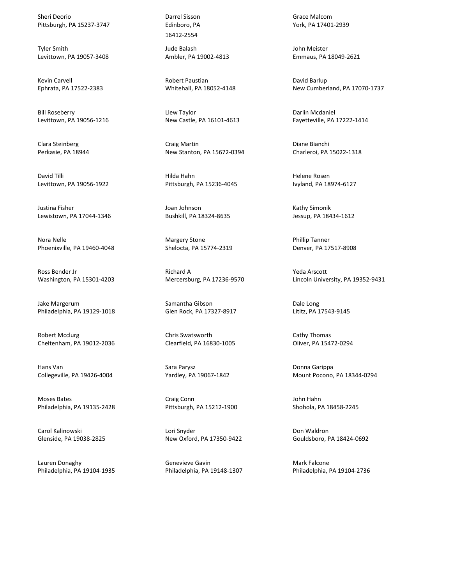Sheri Deorio Pittsburgh, PA 15237-3747

Tyler Smith Levittown, PA 19057-3408

Kevin Carvell Ephrata, PA 17522-2383

Bill Roseberry Levittown, PA 19056-1216

Clara Steinberg Perkasie, PA 18944

David Tilli Levittown, PA 19056-1922

Justina Fisher Lewistown, PA 17044-1346

Nora Nelle Phoenixville, PA 19460-4048

Ross Bender Jr Washington, PA 15301-4203

Jake Margerum Philadelphia, PA 19129-1018

Robert Mcclurg Cheltenham, PA 19012-2036

Hans Van Collegeville, PA 19426-4004

Moses Bates Philadelphia, PA 19135-2428

Carol Kalinowski Glenside, PA 19038-2825

Lauren Donaghy Philadelphia, PA 19104-1935 Darrel Sisson Edinboro, PA 16412-2554

Jude Balash Ambler, PA 19002-4813

Robert Paustian Whitehall, PA 18052-4148

Llew Taylor New Castle, PA 16101-4613

Craig Martin New Stanton, PA 15672-0394

Hilda Hahn Pittsburgh, PA 15236-4045

Joan Johnson Bushkill, PA 18324-8635

Margery Stone Shelocta, PA 15774-2319

Richard A Mercersburg, PA 17236-9570

Samantha Gibson Glen Rock, PA 17327-8917

Chris Swatsworth Clearfield, PA 16830-1005

Sara Parysz Yardley, PA 19067-1842

Craig Conn Pittsburgh, PA 15212-1900

Lori Snyder New Oxford, PA 17350-9422

Genevieve Gavin Philadelphia, PA 19148-1307 Grace Malcom York, PA 17401-2939

John Meister Emmaus, PA 18049-2621

David Barlup New Cumberland, PA 17070-1737

Darlin Mcdaniel Fayetteville, PA 17222-1414

Diane Bianchi Charleroi, PA 15022-1318

Helene Rosen Ivyland, PA 18974-6127

Kathy Simonik Jessup, PA 18434-1612

Phillip Tanner Denver, PA 17517-8908

Yeda Arscott Lincoln University, PA 19352-9431

Dale Long Lititz, PA 17543-9145

Cathy Thomas Oliver, PA 15472-0294

Donna Garippa Mount Pocono, PA 18344-0294

John Hahn Shohola, PA 18458-2245

Don Waldron Gouldsboro, PA 18424-0692

Mark Falcone Philadelphia, PA 19104-2736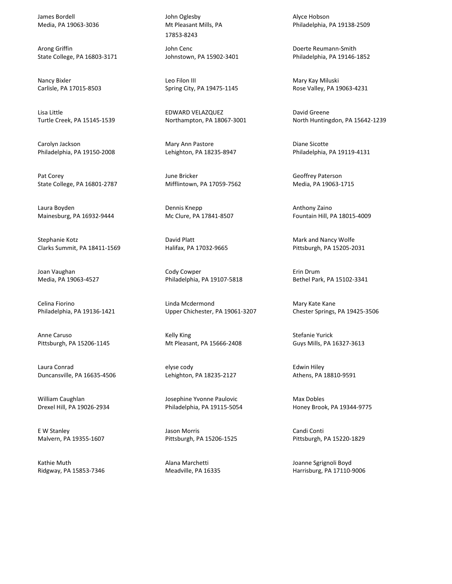James Bordell Media, PA 19063-3036

Arong Griffin State College, PA 16803-3171

Nancy Bixler Carlisle, PA 17015-8503

Lisa Little Turtle Creek, PA 15145-1539

Carolyn Jackson Philadelphia, PA 19150-2008

Pat Corey State College, PA 16801-2787

Laura Boyden Mainesburg, PA 16932-9444

Stephanie Kotz Clarks Summit, PA 18411-1569

Joan Vaughan Media, PA 19063-4527

Celina Fiorino Philadelphia, PA 19136-1421

Anne Caruso Pittsburgh, PA 15206-1145

Laura Conrad Duncansville, PA 16635-4506

William Caughlan Drexel Hill, PA 19026-2934

E W Stanley Malvern, PA 19355-1607

Kathie Muth Ridgway, PA 15853-7346 John Oglesby Mt Pleasant Mills, PA 17853-8243

John Cenc Johnstown, PA 15902-3401

Leo Filon III Spring City, PA 19475-1145

EDWARD VELAZQUEZ Northampton, PA 18067-3001

Mary Ann Pastore Lehighton, PA 18235-8947

June Bricker Mifflintown, PA 17059-7562

Dennis Knepp Mc Clure, PA 17841-8507

David Platt Halifax, PA 17032-9665

Cody Cowper Philadelphia, PA 19107-5818

Linda Mcdermond Upper Chichester, PA 19061-3207

Kelly King Mt Pleasant, PA 15666-2408

elyse cody Lehighton, PA 18235-2127

Josephine Yvonne Paulovic Philadelphia, PA 19115-5054

Jason Morris Pittsburgh, PA 15206-1525

Alana Marchetti Meadville, PA 16335 Alyce Hobson Philadelphia, PA 19138-2509

Doerte Reumann-Smith Philadelphia, PA 19146-1852

Mary Kay Miluski Rose Valley, PA 19063-4231

David Greene North Huntingdon, PA 15642-1239

Diane Sicotte Philadelphia, PA 19119-4131

Geoffrey Paterson Media, PA 19063-1715

Anthony Zaino Fountain Hill, PA 18015-4009

Mark and Nancy Wolfe Pittsburgh, PA 15205-2031

Erin Drum Bethel Park, PA 15102-3341

Mary Kate Kane Chester Springs, PA 19425-3506

Stefanie Yurick Guys Mills, PA 16327-3613

Edwin Hiley Athens, PA 18810-9591

Max Dobles Honey Brook, PA 19344-9775

Candi Conti Pittsburgh, PA 15220-1829

Joanne Sgrignoli Boyd Harrisburg, PA 17110-9006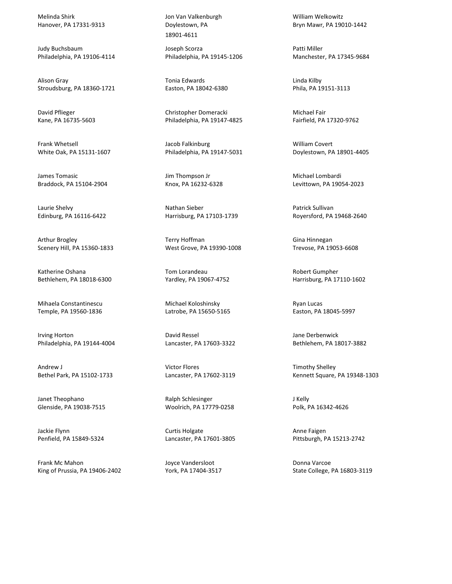Melinda Shirk Hanover, PA 17331-9313

Judy Buchsbaum Philadelphia, PA 19106-4114

Alison Gray Stroudsburg, PA 18360-1721

David Pflieger Kane, PA 16735-5603

Frank Whetsell White Oak, PA 15131-1607

James Tomasic Braddock, PA 15104-2904

Laurie Shelvy Edinburg, PA 16116-6422

Arthur Brogley Scenery Hill, PA 15360-1833

Katherine Oshana Bethlehem, PA 18018-6300

Mihaela Constantinescu Temple, PA 19560-1836

Irving Horton Philadelphia, PA 19144-4004

Andrew J Bethel Park, PA 15102-1733

Janet Theophano Glenside, PA 19038-7515

Jackie Flynn Penfield, PA 15849-5324

Frank Mc Mahon King of Prussia, PA 19406-2402 Jon Van Valkenburgh Doylestown, PA 18901-4611

Joseph Scorza Philadelphia, PA 19145-1206

Tonia Edwards Easton, PA 18042-6380

Christopher Domeracki Philadelphia, PA 19147-4825

Jacob Falkinburg Philadelphia, PA 19147-5031

Jim Thompson Jr Knox, PA 16232-6328

Nathan Sieber Harrisburg, PA 17103-1739

Terry Hoffman West Grove, PA 19390-1008

Tom Lorandeau Yardley, PA 19067-4752

Michael Koloshinsky Latrobe, PA 15650-5165

David Ressel Lancaster, PA 17603-3322

Victor Flores Lancaster, PA 17602-3119

Ralph Schlesinger Woolrich, PA 17779-0258

Curtis Holgate Lancaster, PA 17601-3805

Joyce Vandersloot York, PA 17404-3517 William Welkowitz Bryn Mawr, PA 19010-1442

Patti Miller Manchester, PA 17345-9684

Linda Kilby Phila, PA 19151-3113

Michael Fair Fairfield, PA 17320-9762

William Covert Doylestown, PA 18901-4405

Michael Lombardi Levittown, PA 19054-2023

Patrick Sullivan Royersford, PA 19468-2640

Gina Hinnegan Trevose, PA 19053-6608

Robert Gumpher Harrisburg, PA 17110-1602

Ryan Lucas Easton, PA 18045-5997

Jane Derbenwick Bethlehem, PA 18017-3882

Timothy Shelley Kennett Square, PA 19348-1303

J Kelly Polk, PA 16342-4626

Anne Faigen Pittsburgh, PA 15213-2742

Donna Varcoe State College, PA 16803-3119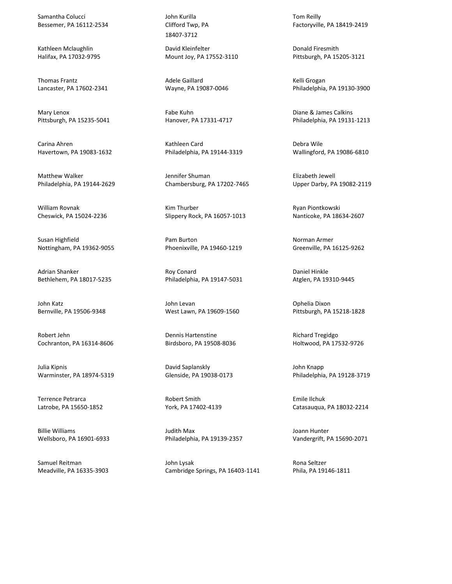Samantha Colucci Bessemer, PA 16112-2534

Kathleen Mclaughlin Halifax, PA 17032-9795

Thomas Frantz Lancaster, PA 17602-2341

Mary Lenox Pittsburgh, PA 15235-5041

Carina Ahren Havertown, PA 19083-1632

Matthew Walker Philadelphia, PA 19144-2629

William Rovnak Cheswick, PA 15024-2236

Susan Highfield Nottingham, PA 19362-9055

Adrian Shanker Bethlehem, PA 18017-5235

John Katz Bernville, PA 19506-9348

Robert Jehn Cochranton, PA 16314-8606

Julia Kipnis Warminster, PA 18974-5319

Terrence Petrarca Latrobe, PA 15650-1852

Billie Williams Wellsboro, PA 16901-6933

Samuel Reitman Meadville, PA 16335-3903 John Kurilla Clifford Twp, PA 18407-3712

David Kleinfelter Mount Joy, PA 17552-3110

Adele Gaillard Wayne, PA 19087-0046

Fabe Kuhn Hanover, PA 17331-4717

Kathleen Card Philadelphia, PA 19144-3319

Jennifer Shuman Chambersburg, PA 17202-7465

Kim Thurber Slippery Rock, PA 16057-1013

Pam Burton Phoenixville, PA 19460-1219

Roy Conard Philadelphia, PA 19147-5031

John Levan West Lawn, PA 19609-1560

Dennis Hartenstine Birdsboro, PA 19508-8036

David Saplanskly Glenside, PA 19038-0173

Robert Smith York, PA 17402-4139

Judith Max Philadelphia, PA 19139-2357

John Lysak Cambridge Springs, PA 16403-1141 Tom Reilly Factoryville, PA 18419-2419

Donald Firesmith Pittsburgh, PA 15205-3121

Kelli Grogan Philadelphia, PA 19130-3900

Diane & James Calkins Philadelphia, PA 19131-1213

Debra Wile Wallingford, PA 19086-6810

Elizabeth Jewell Upper Darby, PA 19082-2119

Ryan Piontkowski Nanticoke, PA 18634-2607

Norman Armer Greenville, PA 16125-9262

Daniel Hinkle Atglen, PA 19310-9445

Ophelia Dixon Pittsburgh, PA 15218-1828

Richard Tregidgo Holtwood, PA 17532-9726

John Knapp Philadelphia, PA 19128-3719

Emile Ilchuk Catasauqua, PA 18032-2214

Joann Hunter Vandergrift, PA 15690-2071

Rona Seltzer Phila, PA 19146-1811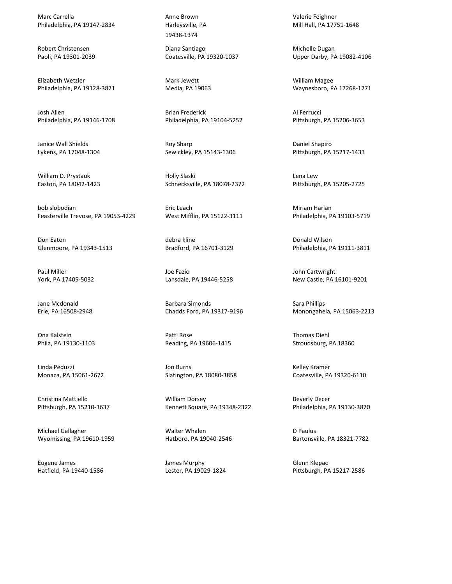Marc Carrella Philadelphia, PA 19147-2834

Robert Christensen Paoli, PA 19301-2039

Elizabeth Wetzler Philadelphia, PA 19128-3821

Josh Allen Philadelphia, PA 19146-1708

Janice Wall Shields Lykens, PA 17048-1304

William D. Prystauk Easton, PA 18042-1423

bob slobodian Feasterville Trevose, PA 19053-4229

Don Eaton Glenmoore, PA 19343-1513

Paul Miller York, PA 17405-5032

Jane Mcdonald Erie, PA 16508-2948

Ona Kalstein Phila, PA 19130-1103

Linda Peduzzi Monaca, PA 15061-2672

Christina Mattiello Pittsburgh, PA 15210-3637

Michael Gallagher Wyomissing, PA 19610-1959

Eugene James Hatfield, PA 19440-1586 Anne Brown Harleysville, PA 19438-1374

Diana Santiago Coatesville, PA 19320-1037

Mark Jewett Media, PA 19063

Brian Frederick Philadelphia, PA 19104-5252

Roy Sharp Sewickley, PA 15143-1306

Holly Slaski Schnecksville, PA 18078-2372

Eric Leach West Mifflin, PA 15122-3111

debra kline Bradford, PA 16701-3129

Joe Fazio Lansdale, PA 19446-5258

Barbara Simonds Chadds Ford, PA 19317-9196

Patti Rose Reading, PA 19606-1415

Jon Burns Slatington, PA 18080-3858

William Dorsey Kennett Square, PA 19348-2322

Walter Whalen Hatboro, PA 19040-2546

James Murphy Lester, PA 19029-1824 Valerie Feighner Mill Hall, PA 17751-1648

Michelle Dugan Upper Darby, PA 19082-4106

William Magee Waynesboro, PA 17268-1271

Al Ferrucci Pittsburgh, PA 15206-3653

Daniel Shapiro Pittsburgh, PA 15217-1433

Lena Lew Pittsburgh, PA 15205-2725

Miriam Harlan Philadelphia, PA 19103-5719

Donald Wilson Philadelphia, PA 19111-3811

John Cartwright New Castle, PA 16101-9201

Sara Phillips Monongahela, PA 15063-2213

Thomas Diehl Stroudsburg, PA 18360

Kelley Kramer Coatesville, PA 19320-6110

Beverly Decer Philadelphia, PA 19130-3870

D Paulus Bartonsville, PA 18321-7782

Glenn Klepac Pittsburgh, PA 15217-2586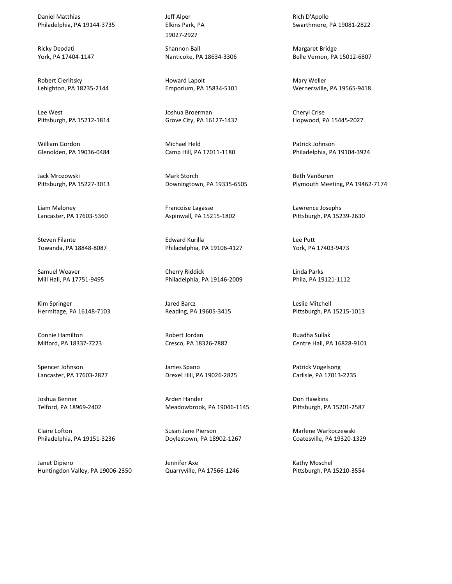Daniel Matthias Philadelphia, PA 19144-3735

Ricky Deodati York, PA 17404-1147

Robert Cierlitsky Lehighton, PA 18235-2144

Lee West Pittsburgh, PA 15212-1814

William Gordon Glenolden, PA 19036-0484

Jack Mrozowski Pittsburgh, PA 15227-3013

Liam Maloney Lancaster, PA 17603-5360

Steven Filante Towanda, PA 18848-8087

Samuel Weaver Mill Hall, PA 17751-9495

Kim Springer Hermitage, PA 16148-7103

Connie Hamilton Milford, PA 18337-7223

Spencer Johnson Lancaster, PA 17603-2827

Joshua Benner Telford, PA 18969-2402

Claire Lofton Philadelphia, PA 19151-3236

Janet Dipiero Huntingdon Valley, PA 19006-2350 Jeff Alper Elkins Park, PA 19027-2927

Shannon Ball Nanticoke, PA 18634-3306

Howard Lapolt Emporium, PA 15834-5101

Joshua Broerman Grove City, PA 16127-1437

Michael Held Camp Hill, PA 17011-1180

Mark Storch Downingtown, PA 19335-6505

Francoise Lagasse Aspinwall, PA 15215-1802

Edward Kurilla Philadelphia, PA 19106-4127

Cherry Riddick Philadelphia, PA 19146-2009

Jared Barcz Reading, PA 19605-3415

Robert Jordan Cresco, PA 18326-7882

James Spano Drexel Hill, PA 19026-2825

Arden Hander Meadowbrook, PA 19046-1145

Susan Jane Pierson Doylestown, PA 18902-1267

Jennifer Axe Quarryville, PA 17566-1246 Rich D'Apollo Swarthmore, PA 19081-2822

Margaret Bridge Belle Vernon, PA 15012-6807

Mary Weller Wernersville, PA 19565-9418

Cheryl Crise Hopwood, PA 15445-2027

Patrick Johnson Philadelphia, PA 19104-3924

Beth VanBuren Plymouth Meeting, PA 19462-7174

Lawrence Josephs Pittsburgh, PA 15239-2630

Lee Putt York, PA 17403-9473

Linda Parks Phila, PA 19121-1112

Leslie Mitchell Pittsburgh, PA 15215-1013

Ruadha Sullak Centre Hall, PA 16828-9101

Patrick Vogelsong Carlisle, PA 17013-2235

Don Hawkins Pittsburgh, PA 15201-2587

Marlene Warkoczewski Coatesville, PA 19320-1329

Kathy Moschel Pittsburgh, PA 15210-3554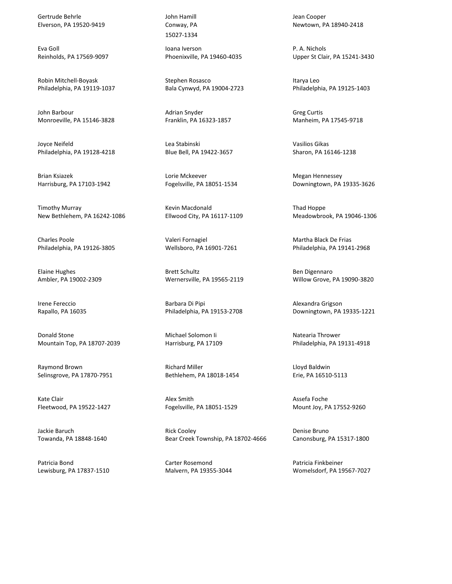Gertrude Behrle Elverson, PA 19520-9419

Eva Goll Reinholds, PA 17569-9097

Robin Mitchell-Boyask Philadelphia, PA 19119-1037

John Barbour Monroeville, PA 15146-3828

Joyce Neifeld Philadelphia, PA 19128-4218

Brian Ksiazek Harrisburg, PA 17103-1942

Timothy Murray New Bethlehem, PA 16242-1086

Charles Poole Philadelphia, PA 19126-3805

Elaine Hughes Ambler, PA 19002-2309

Irene Fereccio Rapallo, PA 16035

Donald Stone Mountain Top, PA 18707-2039

Raymond Brown Selinsgrove, PA 17870-7951

Kate Clair Fleetwood, PA 19522-1427

Jackie Baruch Towanda, PA 18848-1640

Patricia Bond Lewisburg, PA 17837-1510 John Hamill Conway, PA 15027-1334

Ioana Iverson Phoenixville, PA 19460-4035

Stephen Rosasco Bala Cynwyd, PA 19004-2723

Adrian Snyder Franklin, PA 16323-1857

Lea Stabinski Blue Bell, PA 19422-3657

Lorie Mckeever Fogelsville, PA 18051-1534

Kevin Macdonald Ellwood City, PA 16117-1109

Valeri Fornagiel Wellsboro, PA 16901-7261

Brett Schultz Wernersville, PA 19565-2119

Barbara Di Pipi Philadelphia, PA 19153-2708

Michael Solomon Ii Harrisburg, PA 17109

Richard Miller Bethlehem, PA 18018-1454

Alex Smith Fogelsville, PA 18051-1529

Rick Cooley Bear Creek Township, PA 18702-4666

Carter Rosemond Malvern, PA 19355-3044 Jean Cooper Newtown, PA 18940-2418

P. A. Nichols Upper St Clair, PA 15241-3430

Itarya Leo Philadelphia, PA 19125-1403

Greg Curtis Manheim, PA 17545-9718

Vasilios Gikas Sharon, PA 16146-1238

Megan Hennessey Downingtown, PA 19335-3626

Thad Hoppe Meadowbrook, PA 19046-1306

Martha Black De Frias Philadelphia, PA 19141-2968

Ben Digennaro Willow Grove, PA 19090-3820

Alexandra Grigson Downingtown, PA 19335-1221

Natearia Thrower Philadelphia, PA 19131-4918

Lloyd Baldwin Erie, PA 16510-5113

Assefa Foche Mount Joy, PA 17552-9260

Denise Bruno Canonsburg, PA 15317-1800

Patricia Finkbeiner Womelsdorf, PA 19567-7027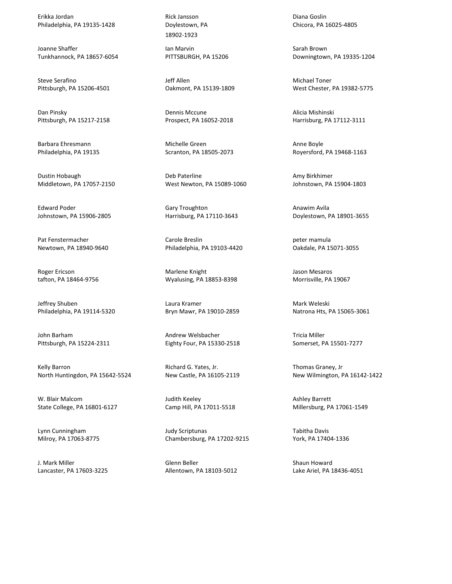Erikka Jordan Philadelphia, PA 19135-1428

Joanne Shaffer Tunkhannock, PA 18657-6054

Steve Serafino Pittsburgh, PA 15206-4501

Dan Pinsky Pittsburgh, PA 15217-2158

Barbara Ehresmann Philadelphia, PA 19135

Dustin Hobaugh Middletown, PA 17057-2150

Edward Poder Johnstown, PA 15906-2805

Pat Fenstermacher Newtown, PA 18940-9640

Roger Ericson tafton, PA 18464-9756

Jeffrey Shuben Philadelphia, PA 19114-5320

John Barham Pittsburgh, PA 15224-2311

Kelly Barron North Huntingdon, PA 15642-5524

W. Blair Malcom State College, PA 16801-6127

Lynn Cunningham Milroy, PA 17063-8775

J. Mark Miller Lancaster, PA 17603-3225 Rick Jansson Doylestown, PA 18902-1923

Ian Marvin PITTSBURGH, PA 15206

Jeff Allen Oakmont, PA 15139-1809

Dennis Mccune Prospect, PA 16052-2018

Michelle Green Scranton, PA 18505-2073

Deb Paterline West Newton, PA 15089-1060

Gary Troughton Harrisburg, PA 17110-3643

Carole Breslin Philadelphia, PA 19103-4420

Marlene Knight Wyalusing, PA 18853-8398

Laura Kramer Bryn Mawr, PA 19010-2859

Andrew Welsbacher Eighty Four, PA 15330-2518

Richard G. Yates, Jr. New Castle, PA 16105-2119

Judith Keeley Camp Hill, PA 17011-5518

Judy Scriptunas Chambersburg, PA 17202-9215

Glenn Beller Allentown, PA 18103-5012

Diana Goslin Chicora, PA 16025-4805

Sarah Brown Downingtown, PA 19335-1204

Michael Toner West Chester, PA 19382-5775

Alicia Mishinski Harrisburg, PA 17112-3111

Anne Boyle Royersford, PA 19468-1163

Amy Birkhimer Johnstown, PA 15904-1803

Anawim Avila Doylestown, PA 18901-3655

peter mamula Oakdale, PA 15071-3055

Jason Mesaros Morrisville, PA 19067

Mark Weleski Natrona Hts, PA 15065-3061

Tricia Miller Somerset, PA 15501-7277

Thomas Graney, Jr New Wilmington, PA 16142-1422

Ashley Barrett Millersburg, PA 17061-1549

Tabitha Davis York, PA 17404-1336

Shaun Howard Lake Ariel, PA 18436-4051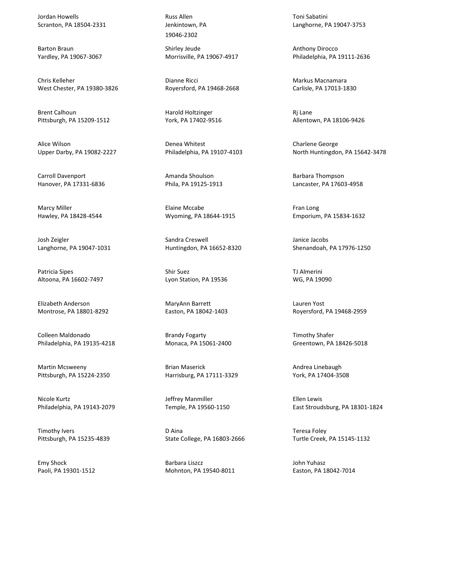Jordan Howells Scranton, PA 18504-2331

Barton Braun Yardley, PA 19067-3067

Chris Kelleher West Chester, PA 19380-3826

Brent Calhoun Pittsburgh, PA 15209-1512

Alice Wilson Upper Darby, PA 19082-2227

Carroll Davenport Hanover, PA 17331-6836

Marcy Miller Hawley, PA 18428-4544

Josh Zeigler Langhorne, PA 19047-1031

Patricia Sipes Altoona, PA 16602-7497

Elizabeth Anderson Montrose, PA 18801-8292

Colleen Maldonado Philadelphia, PA 19135-4218

Martin Mcsweeny Pittsburgh, PA 15224-2350

Nicole Kurtz Philadelphia, PA 19143-2079

Timothy Ivers Pittsburgh, PA 15235-4839

Emy Shock Paoli, PA 19301-1512

Russ Allen Jenkintown, PA 19046-2302

Shirley Jeude Morrisville, PA 19067-4917

Dianne Ricci Royersford, PA 19468-2668

Harold Holtzinger York, PA 17402-9516

Denea Whitest Philadelphia, PA 19107-4103

Amanda Shoulson Phila, PA 19125-1913

Elaine Mccabe Wyoming, PA 18644-1915

Sandra Creswell Huntingdon, PA 16652-8320

Shir Suez Lyon Station, PA 19536

MaryAnn Barrett Easton, PA 18042-1403

Brandy Fogarty Monaca, PA 15061-2400

Brian Maserick Harrisburg, PA 17111-3329

Jeffrey Manmiller Temple, PA 19560-1150

D Aina State College, PA 16803-2666

Barbara Liszcz Mohnton, PA 19540-8011 Toni Sabatini Langhorne, PA 19047-3753

Anthony Dirocco Philadelphia, PA 19111-2636

Markus Macnamara Carlisle, PA 17013-1830

Rj Lane Allentown, PA 18106-9426

Charlene George North Huntingdon, PA 15642-3478

Barbara Thompson Lancaster, PA 17603-4958

Fran Long Emporium, PA 15834-1632

Janice Jacobs Shenandoah, PA 17976-1250

TJ Almerini WG, PA 19090

Lauren Yost Royersford, PA 19468-2959

Timothy Shafer Greentown, PA 18426-5018

Andrea Linebaugh York, PA 17404-3508

Ellen Lewis East Stroudsburg, PA 18301-1824

Teresa Foley Turtle Creek, PA 15145-1132

John Yuhasz Easton, PA 18042-7014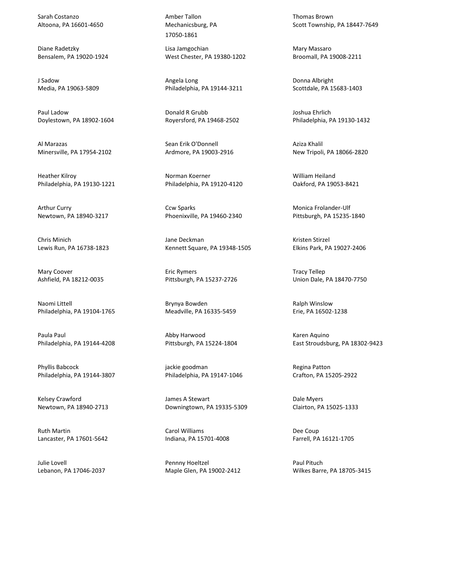Sarah Costanzo Altoona, PA 16601-4650

Diane Radetzky Bensalem, PA 19020-1924

J Sadow Media, PA 19063-5809

Paul Ladow Doylestown, PA 18902-1604

Al Marazas Minersville, PA 17954-2102

Heather Kilroy Philadelphia, PA 19130-1221

Arthur Curry Newtown, PA 18940-3217

Chris Minich Lewis Run, PA 16738-1823

Mary Coover Ashfield, PA 18212-0035

Naomi Littell Philadelphia, PA 19104-1765

Paula Paul Philadelphia, PA 19144-4208

Phyllis Babcock Philadelphia, PA 19144-3807

Kelsey Crawford Newtown, PA 18940-2713

Ruth Martin Lancaster, PA 17601-5642

Julie Lovell Lebanon, PA 17046-2037 Amber Tallon Mechanicsburg, PA 17050-1861

Lisa Jamgochian West Chester, PA 19380-1202

Angela Long Philadelphia, PA 19144-3211

Donald R Grubb Royersford, PA 19468-2502

Sean Erik O'Donnell Ardmore, PA 19003-2916

Norman Koerner Philadelphia, PA 19120-4120

Ccw Sparks Phoenixville, PA 19460-2340

Jane Deckman Kennett Square, PA 19348-1505

Eric Rymers Pittsburgh, PA 15237-2726

Brynya Bowden Meadville, PA 16335-5459

Abby Harwood Pittsburgh, PA 15224-1804

jackie goodman Philadelphia, PA 19147-1046

James A Stewart Downingtown, PA 19335-5309

Carol Williams Indiana, PA 15701-4008

Pennny Hoeltzel Maple Glen, PA 19002-2412 Thomas Brown Scott Township, PA 18447-7649

Mary Massaro Broomall, PA 19008-2211

Donna Albright Scottdale, PA 15683-1403

Joshua Ehrlich Philadelphia, PA 19130-1432

Aziza Khalil New Tripoli, PA 18066-2820

William Heiland Oakford, PA 19053-8421

Monica Frolander-Ulf Pittsburgh, PA 15235-1840

Kristen Stirzel Elkins Park, PA 19027-2406

Tracy Tellep Union Dale, PA 18470-7750

Ralph Winslow Erie, PA 16502-1238

Karen Aquino East Stroudsburg, PA 18302-9423

Regina Patton Crafton, PA 15205-2922

Dale Myers Clairton, PA 15025-1333

Dee Coup Farrell, PA 16121-1705

Paul Pituch Wilkes Barre, PA 18705-3415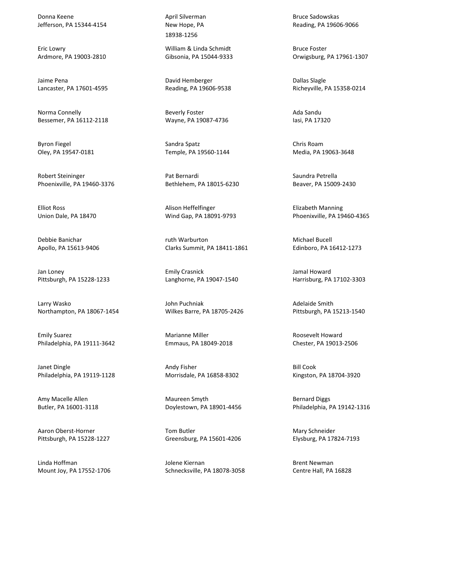Donna Keene Jefferson, PA 15344-4154

Eric Lowry Ardmore, PA 19003-2810

Jaime Pena Lancaster, PA 17601-4595

Norma Connelly Bessemer, PA 16112-2118

Byron Fiegel Oley, PA 19547-0181

Robert Steininger Phoenixville, PA 19460-3376

Elliot Ross Union Dale, PA 18470

Debbie Banichar Apollo, PA 15613-9406

Jan Loney Pittsburgh, PA 15228-1233

Larry Wasko Northampton, PA 18067-1454

Emily Suarez Philadelphia, PA 19111-3642

Janet Dingle Philadelphia, PA 19119-1128

Amy Macelle Allen Butler, PA 16001-3118

Aaron Oberst-Horner Pittsburgh, PA 15228-1227

Linda Hoffman Mount Joy, PA 17552-1706 April Silverman New Hope, PA 18938-1256

William & Linda Schmidt Gibsonia, PA 15044-9333

David Hemberger Reading, PA 19606-9538

Beverly Foster Wayne, PA 19087-4736

Sandra Spatz Temple, PA 19560-1144

Pat Bernardi Bethlehem, PA 18015-6230

Alison Heffelfinger Wind Gap, PA 18091-9793

ruth Warburton Clarks Summit, PA 18411-1861

Emily Crasnick Langhorne, PA 19047-1540

John Puchniak Wilkes Barre, PA 18705-2426

Marianne Miller Emmaus, PA 18049-2018

Andy Fisher Morrisdale, PA 16858-8302

Maureen Smyth Doylestown, PA 18901-4456

Tom Butler Greensburg, PA 15601-4206

Jolene Kiernan Schnecksville, PA 18078-3058 Bruce Sadowskas Reading, PA 19606-9066

Bruce Foster Orwigsburg, PA 17961-1307

Dallas Slagle Richeyville, PA 15358-0214

Ada Sandu Iasi, PA 17320

Chris Roam Media, PA 19063-3648

Saundra Petrella Beaver, PA 15009-2430

Elizabeth Manning Phoenixville, PA 19460-4365

Michael Bucell Edinboro, PA 16412-1273

Jamal Howard Harrisburg, PA 17102-3303

Adelaide Smith Pittsburgh, PA 15213-1540

Roosevelt Howard Chester, PA 19013-2506

Bill Cook Kingston, PA 18704-3920

Bernard Diggs Philadelphia, PA 19142-1316

Mary Schneider Elysburg, PA 17824-7193

Brent Newman Centre Hall, PA 16828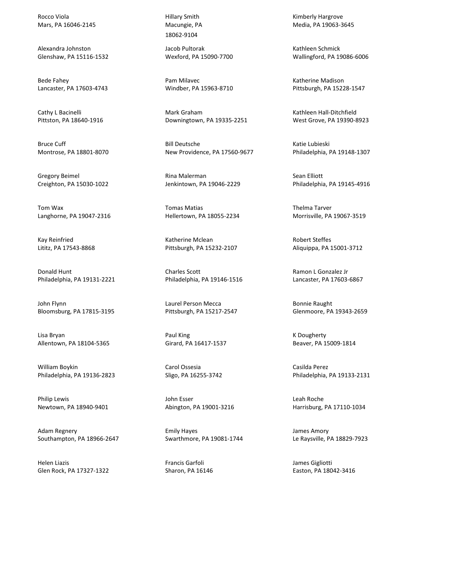Rocco Viola Mars, PA 16046-2145

Alexandra Johnston Glenshaw, PA 15116-1532

Bede Fahey Lancaster, PA 17603-4743

Cathy L Bacinelli Pittston, PA 18640-1916

Bruce Cuff Montrose, PA 18801-8070

Gregory Beimel Creighton, PA 15030-1022

Tom Wax Langhorne, PA 19047-2316

Kay Reinfried Lititz, PA 17543-8868

Donald Hunt Philadelphia, PA 19131-2221

John Flynn Bloomsburg, PA 17815-3195

Lisa Bryan Allentown, PA 18104-5365

William Boykin Philadelphia, PA 19136-2823

Philip Lewis Newtown, PA 18940-9401

Adam Regnery Southampton, PA 18966-2647

Helen Liazis Glen Rock, PA 17327-1322 Hillary Smith Macungie, PA 18062-9104

Jacob Pultorak Wexford, PA 15090-7700

Pam Milavec Windber, PA 15963-8710

Mark Graham Downingtown, PA 19335-2251

Bill Deutsche New Providence, PA 17560-9677

Rina Malerman Jenkintown, PA 19046-2229

Tomas Matias Hellertown, PA 18055-2234

Katherine Mclean Pittsburgh, PA 15232-2107

Charles Scott Philadelphia, PA 19146-1516

Laurel Person Mecca Pittsburgh, PA 15217-2547

Paul King Girard, PA 16417-1537

Carol Ossesia Sligo, PA 16255-3742

John Esser Abington, PA 19001-3216

Emily Hayes Swarthmore, PA 19081-1744

Francis Garfoli Sharon, PA 16146 Kimberly Hargrove Media, PA 19063-3645

Kathleen Schmick Wallingford, PA 19086-6006

Katherine Madison Pittsburgh, PA 15228-1547

Kathleen Hall-Ditchfield West Grove, PA 19390-8923

Katie Lubieski Philadelphia, PA 19148-1307

Sean Elliott Philadelphia, PA 19145-4916

Thelma Tarver Morrisville, PA 19067-3519

Robert Steffes Aliquippa, PA 15001-3712

Ramon L Gonzalez Jr Lancaster, PA 17603-6867

Bonnie Raught Glenmoore, PA 19343-2659

K Dougherty Beaver, PA 15009-1814

Casilda Perez Philadelphia, PA 19133-2131

Leah Roche Harrisburg, PA 17110-1034

James Amory Le Raysville, PA 18829-7923

James Gigliotti Easton, PA 18042-3416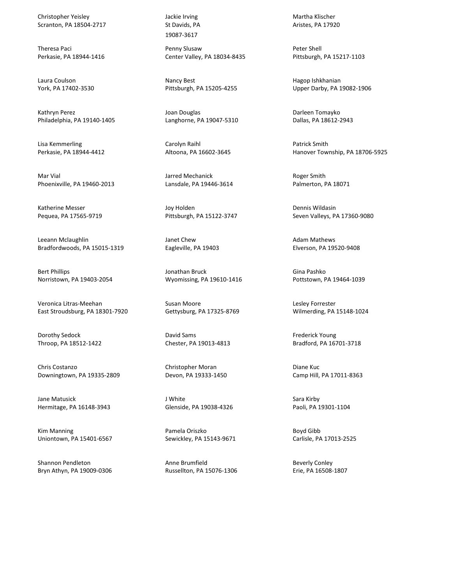Christopher Yeisley Scranton, PA 18504-2717

Theresa Paci Perkasie, PA 18944-1416

Laura Coulson York, PA 17402-3530

Kathryn Perez Philadelphia, PA 19140-1405

Lisa Kemmerling Perkasie, PA 18944-4412

Mar Vial Phoenixville, PA 19460-2013

Katherine Messer Pequea, PA 17565-9719

Leeann Mclaughlin Bradfordwoods, PA 15015-1319

Bert Phillips Norristown, PA 19403-2054

Veronica Litras-Meehan East Stroudsburg, PA 18301-7920

Dorothy Sedock Throop, PA 18512-1422

Chris Costanzo Downingtown, PA 19335-2809

Jane Matusick Hermitage, PA 16148-3943

Kim Manning Uniontown, PA 15401-6567

Shannon Pendleton Bryn Athyn, PA 19009-0306 Jackie Irving St Davids, PA 19087-3617

Penny Slusaw Center Valley, PA 18034-8435

Nancy Best Pittsburgh, PA 15205-4255

Joan Douglas Langhorne, PA 19047-5310

Carolyn Raihl Altoona, PA 16602-3645

Jarred Mechanick Lansdale, PA 19446-3614

Joy Holden Pittsburgh, PA 15122-3747

Janet Chew Eagleville, PA 19403

Jonathan Bruck Wyomissing, PA 19610-1416

Susan Moore Gettysburg, PA 17325-8769

David Sams Chester, PA 19013-4813

Christopher Moran Devon, PA 19333-1450

J White Glenside, PA 19038-4326

Pamela Oriszko Sewickley, PA 15143-9671

Anne Brumfield Russellton, PA 15076-1306 Martha Klischer Aristes, PA 17920

Peter Shell Pittsburgh, PA 15217-1103

Hagop Ishkhanian Upper Darby, PA 19082-1906

Darleen Tomayko Dallas, PA 18612-2943

Patrick Smith Hanover Township, PA 18706-5925

Roger Smith Palmerton, PA 18071

Dennis Wildasin Seven Valleys, PA 17360-9080

Adam Mathews Elverson, PA 19520-9408

Gina Pashko Pottstown, PA 19464-1039

Lesley Forrester Wilmerding, PA 15148-1024

Frederick Young Bradford, PA 16701-3718

Diane Kuc Camp Hill, PA 17011-8363

Sara Kirby Paoli, PA 19301-1104

Boyd Gibb Carlisle, PA 17013-2525

Beverly Conley Erie, PA 16508-1807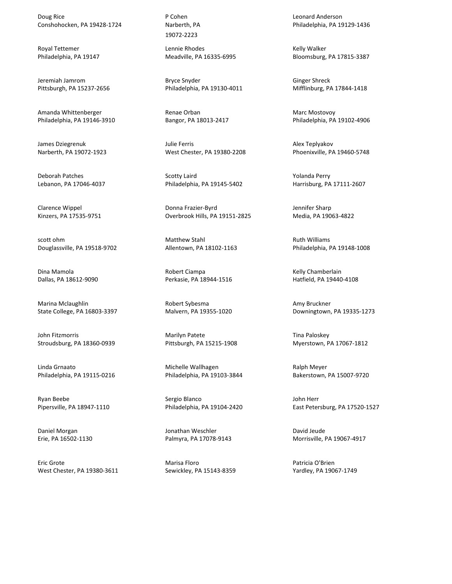Doug Rice Conshohocken, PA 19428-1724

Royal Tettemer Philadelphia, PA 19147

Jeremiah Jamrom Pittsburgh, PA 15237-2656

Amanda Whittenberger Philadelphia, PA 19146-3910

James Dziegrenuk Narberth, PA 19072-1923

Deborah Patches Lebanon, PA 17046-4037

Clarence Wippel Kinzers, PA 17535-9751

scott ohm Douglassville, PA 19518-9702

Dina Mamola Dallas, PA 18612-9090

Marina Mclaughlin State College, PA 16803-3397

John Fitzmorris Stroudsburg, PA 18360-0939

Linda Grnaato Philadelphia, PA 19115-0216

Ryan Beebe Pipersville, PA 18947-1110

Daniel Morgan Erie, PA 16502-1130

Eric Grote West Chester, PA 19380-3611 P Cohen Narberth, PA 19072-2223

Lennie Rhodes Meadville, PA 16335-6995

Bryce Snyder Philadelphia, PA 19130-4011

Renae Orban Bangor, PA 18013-2417

Julie Ferris West Chester, PA 19380-2208

Scotty Laird Philadelphia, PA 19145-5402

Donna Frazier-Byrd Overbrook Hills, PA 19151-2825

Matthew Stahl Allentown, PA 18102-1163

Robert Ciampa Perkasie, PA 18944-1516

Robert Sybesma Malvern, PA 19355-1020

Marilyn Patete Pittsburgh, PA 15215-1908

Michelle Wallhagen Philadelphia, PA 19103-3844

Sergio Blanco Philadelphia, PA 19104-2420

Jonathan Weschler Palmyra, PA 17078-9143

Marisa Floro Sewickley, PA 15143-8359 Leonard Anderson Philadelphia, PA 19129-1436

Kelly Walker Bloomsburg, PA 17815-3387

Ginger Shreck Mifflinburg, PA 17844-1418

Marc Mostovoy Philadelphia, PA 19102-4906

Alex Teplyakov Phoenixville, PA 19460-5748

Yolanda Perry Harrisburg, PA 17111-2607

Jennifer Sharp Media, PA 19063-4822

Ruth Williams Philadelphia, PA 19148-1008

Kelly Chamberlain Hatfield, PA 19440-4108

Amy Bruckner Downingtown, PA 19335-1273

Tina Paloskey Myerstown, PA 17067-1812

Ralph Meyer Bakerstown, PA 15007-9720

John Herr East Petersburg, PA 17520-1527

David Jeude Morrisville, PA 19067-4917

Patricia O'Brien Yardley, PA 19067-1749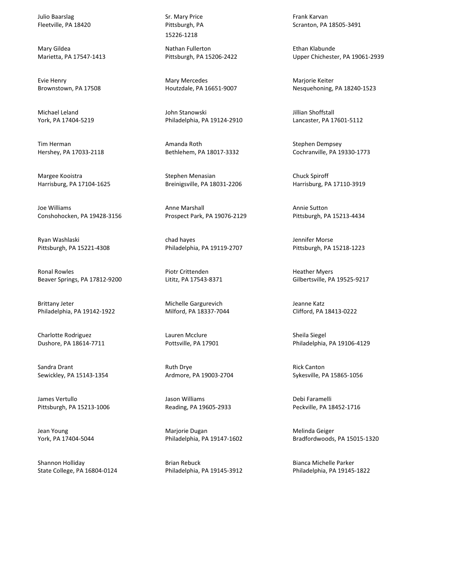Julio Baarslag Fleetville, PA 18420

Mary Gildea Marietta, PA 17547-1413

Evie Henry Brownstown, PA 17508

Michael Leland York, PA 17404-5219

Tim Herman Hershey, PA 17033-2118

Margee Kooistra Harrisburg, PA 17104-1625

Joe Williams Conshohocken, PA 19428-3156

Ryan Washlaski Pittsburgh, PA 15221-4308

Ronal Rowles Beaver Springs, PA 17812-9200

Brittany Jeter Philadelphia, PA 19142-1922

Charlotte Rodriguez Dushore, PA 18614-7711

Sandra Drant Sewickley, PA 15143-1354

James Vertullo Pittsburgh, PA 15213-1006

Jean Young York, PA 17404-5044

Shannon Holliday State College, PA 16804-0124 Sr. Mary Price Pittsburgh, PA 15226-1218

Nathan Fullerton Pittsburgh, PA 15206-2422

Mary Mercedes Houtzdale, PA 16651-9007

John Stanowski Philadelphia, PA 19124-2910

Amanda Roth Bethlehem, PA 18017-3332

Stephen Menasian Breinigsville, PA 18031-2206

Anne Marshall Prospect Park, PA 19076-2129

chad hayes Philadelphia, PA 19119-2707

Piotr Crittenden Lititz, PA 17543-8371

Michelle Gargurevich Milford, PA 18337-7044

Lauren Mcclure Pottsville, PA 17901

Ruth Drye Ardmore, PA 19003-2704

Jason Williams Reading, PA 19605-2933

Marjorie Dugan Philadelphia, PA 19147-1602

Brian Rebuck Philadelphia, PA 19145-3912 Frank Karvan Scranton, PA 18505-3491

Ethan Klabunde Upper Chichester, PA 19061-2939

Marjorie Keiter Nesquehoning, PA 18240-1523

Jillian Shoffstall Lancaster, PA 17601-5112

Stephen Dempsey Cochranville, PA 19330-1773

Chuck Spiroff Harrisburg, PA 17110-3919

Annie Sutton Pittsburgh, PA 15213-4434

Jennifer Morse Pittsburgh, PA 15218-1223

Heather Myers Gilbertsville, PA 19525-9217

Jeanne Katz Clifford, PA 18413-0222

Sheila Siegel Philadelphia, PA 19106-4129

Rick Canton Sykesville, PA 15865-1056

Debi Faramelli Peckville, PA 18452-1716

Melinda Geiger Bradfordwoods, PA 15015-1320

Bianca Michelle Parker Philadelphia, PA 19145-1822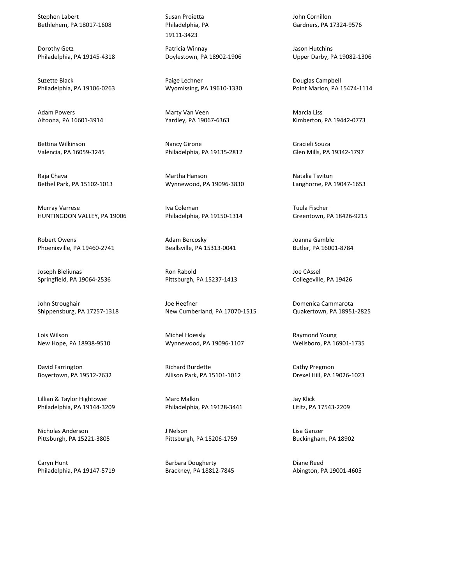Stephen Labert Bethlehem, PA 18017-1608

Dorothy Getz Philadelphia, PA 19145-4318

Suzette Black Philadelphia, PA 19106-0263

Adam Powers Altoona, PA 16601-3914

Bettina Wilkinson Valencia, PA 16059-3245

Raja Chava Bethel Park, PA 15102-1013

Murray Varrese HUNTINGDON VALLEY, PA 19006

Robert Owens Phoenixville, PA 19460-2741

Joseph Bieliunas Springfield, PA 19064-2536

John Stroughair Shippensburg, PA 17257-1318

Lois Wilson New Hope, PA 18938-9510

David Farrington Boyertown, PA 19512-7632

Lillian & Taylor Hightower Philadelphia, PA 19144-3209

Nicholas Anderson Pittsburgh, PA 15221-3805

Caryn Hunt Philadelphia, PA 19147-5719 Susan Proietta Philadelphia, PA 19111-3423

Patricia Winnay Doylestown, PA 18902-1906

Paige Lechner Wyomissing, PA 19610-1330

Marty Van Veen Yardley, PA 19067-6363

Nancy Girone Philadelphia, PA 19135-2812

Martha Hanson Wynnewood, PA 19096-3830

Iva Coleman Philadelphia, PA 19150-1314

Adam Bercosky Beallsville, PA 15313-0041

Ron Rabold Pittsburgh, PA 15237-1413

Joe Heefner New Cumberland, PA 17070-1515

Michel Hoessly Wynnewood, PA 19096-1107

Richard Burdette Allison Park, PA 15101-1012

Marc Malkin Philadelphia, PA 19128-3441

J Nelson Pittsburgh, PA 15206-1759

Barbara Dougherty Brackney, PA 18812-7845 John Cornillon Gardners, PA 17324-9576

Jason Hutchins Upper Darby, PA 19082-1306

Douglas Campbell Point Marion, PA 15474-1114

Marcia Liss Kimberton, PA 19442-0773

Gracieli Souza Glen Mills, PA 19342-1797

Natalia Tsvitun Langhorne, PA 19047-1653

Tuula Fischer Greentown, PA 18426-9215

Joanna Gamble Butler, PA 16001-8784

Joe CAssel Collegeville, PA 19426

Domenica Cammarota Quakertown, PA 18951-2825

Raymond Young Wellsboro, PA 16901-1735

Cathy Pregmon Drexel Hill, PA 19026-1023

Jay Klick Lititz, PA 17543-2209

Lisa Ganzer Buckingham, PA 18902

Diane Reed Abington, PA 19001-4605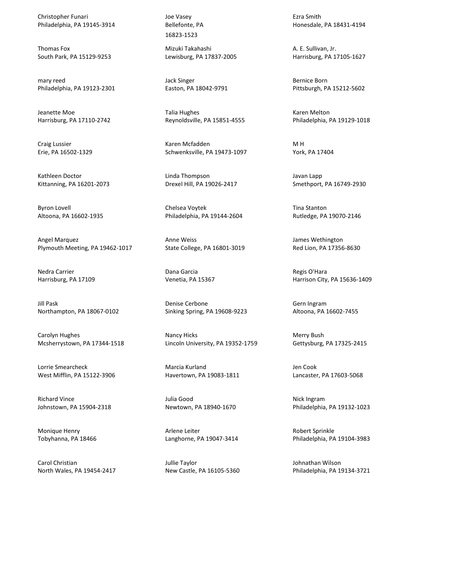Christopher Funari Philadelphia, PA 19145-3914

Thomas Fox South Park, PA 15129-9253

mary reed Philadelphia, PA 19123-2301

Jeanette Moe Harrisburg, PA 17110-2742

Craig Lussier Erie, PA 16502-1329

Kathleen Doctor Kittanning, PA 16201-2073

Byron Lovell Altoona, PA 16602-1935

Angel Marquez Plymouth Meeting, PA 19462-1017

Nedra Carrier Harrisburg, PA 17109

Jill Pask Northampton, PA 18067-0102

Carolyn Hughes Mcsherrystown, PA 17344-1518

Lorrie Smearcheck West Mifflin, PA 15122-3906

Richard Vince Johnstown, PA 15904-2318

Monique Henry Tobyhanna, PA 18466

Carol Christian North Wales, PA 19454-2417 Joe Vasey Bellefonte, PA 16823-1523

Mizuki Takahashi Lewisburg, PA 17837-2005

Jack Singer Easton, PA 18042-9791

Talia Hughes Reynoldsville, PA 15851-4555

Karen Mcfadden Schwenksville, PA 19473-1097

Linda Thompson Drexel Hill, PA 19026-2417

Chelsea Voytek Philadelphia, PA 19144-2604

Anne Weiss State College, PA 16801-3019

Dana Garcia Venetia, PA 15367

Denise Cerbone Sinking Spring, PA 19608-9223

Nancy Hicks Lincoln University, PA 19352-1759

Marcia Kurland Havertown, PA 19083-1811

Julia Good Newtown, PA 18940-1670

Arlene Leiter Langhorne, PA 19047-3414

Jullie Taylor New Castle, PA 16105-5360 Ezra Smith Honesdale, PA 18431-4194

A. E. Sullivan, Jr. Harrisburg, PA 17105-1627

Bernice Born Pittsburgh, PA 15212-5602

Karen Melton Philadelphia, PA 19129-1018

M H York, PA 17404

Javan Lapp Smethport, PA 16749-2930

Tina Stanton Rutledge, PA 19070-2146

James Wethington Red Lion, PA 17356-8630

Regis O'Hara Harrison City, PA 15636-1409

Gern Ingram Altoona, PA 16602-7455

Merry Bush Gettysburg, PA 17325-2415

Jen Cook Lancaster, PA 17603-5068

Nick Ingram Philadelphia, PA 19132-1023

Robert Sprinkle Philadelphia, PA 19104-3983

Johnathan Wilson Philadelphia, PA 19134-3721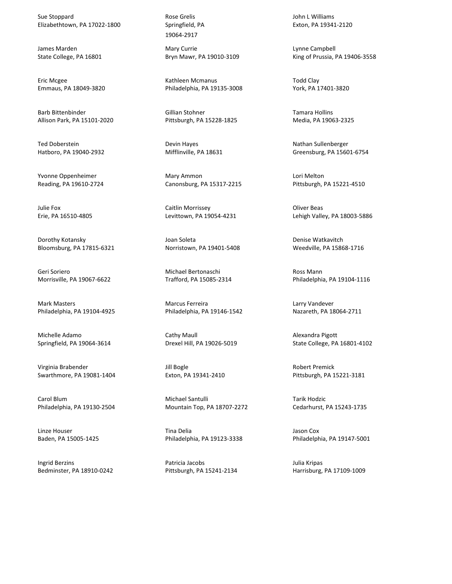Sue Stoppard Elizabethtown, PA 17022-1800

James Marden State College, PA 16801

Eric Mcgee Emmaus, PA 18049-3820

Barb Bittenbinder Allison Park, PA 15101-2020

Ted Doberstein Hatboro, PA 19040-2932

Yvonne Oppenheimer Reading, PA 19610-2724

Julie Fox Erie, PA 16510-4805

Dorothy Kotansky Bloomsburg, PA 17815-6321

Geri Soriero Morrisville, PA 19067-6622

Mark Masters Philadelphia, PA 19104-4925

Michelle Adamo Springfield, PA 19064-3614

Virginia Brabender Swarthmore, PA 19081-1404

Carol Blum Philadelphia, PA 19130-2504

Linze Houser Baden, PA 15005-1425

Ingrid Berzins Bedminster, PA 18910-0242 Rose Grelis Springfield, PA 19064-2917

Mary Currie Bryn Mawr, PA 19010-3109

Kathleen Mcmanus Philadelphia, PA 19135-3008

Gillian Stohner Pittsburgh, PA 15228-1825

Devin Hayes Mifflinville, PA 18631

Mary Ammon Canonsburg, PA 15317-2215

Caitlin Morrissey Levittown, PA 19054-4231

Joan Soleta Norristown, PA 19401-5408

Michael Bertonaschi Trafford, PA 15085-2314

Marcus Ferreira Philadelphia, PA 19146-1542

Cathy Maull Drexel Hill, PA 19026-5019

Jill Bogle Exton, PA 19341-2410

Michael Santulli Mountain Top, PA 18707-2272

Tina Delia Philadelphia, PA 19123-3338

Patricia Jacobs Pittsburgh, PA 15241-2134 John L Williams Exton, PA 19341-2120

Lynne Campbell King of Prussia, PA 19406-3558

Todd Clay York, PA 17401-3820

Tamara Hollins Media, PA 19063-2325

Nathan Sullenberger Greensburg, PA 15601-6754

Lori Melton Pittsburgh, PA 15221-4510

Oliver Beas Lehigh Valley, PA 18003-5886

Denise Watkavitch Weedville, PA 15868-1716

Ross Mann Philadelphia, PA 19104-1116

Larry Vandever Nazareth, PA 18064-2711

Alexandra Pigott State College, PA 16801-4102

Robert Premick Pittsburgh, PA 15221-3181

Tarik Hodzic Cedarhurst, PA 15243-1735

Jason Cox Philadelphia, PA 19147-5001

Julia Kripas Harrisburg, PA 17109-1009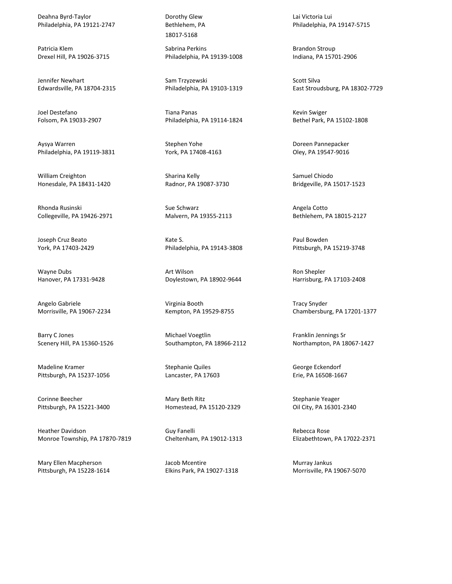Deahna Byrd-Taylor Philadelphia, PA 19121-2747

Patricia Klem Drexel Hill, PA 19026-3715

Jennifer Newhart Edwardsville, PA 18704-2315

Joel Destefano Folsom, PA 19033-2907

Aysya Warren Philadelphia, PA 19119-3831

William Creighton Honesdale, PA 18431-1420

Rhonda Rusinski Collegeville, PA 19426-2971

Joseph Cruz Beato York, PA 17403-2429

Wayne Dubs Hanover, PA 17331-9428

Angelo Gabriele Morrisville, PA 19067-2234

Barry C Jones Scenery Hill, PA 15360-1526

Madeline Kramer Pittsburgh, PA 15237-1056

Corinne Beecher Pittsburgh, PA 15221-3400

Heather Davidson Monroe Township, PA 17870-7819

Mary Ellen Macpherson Pittsburgh, PA 15228-1614 Dorothy Glew Bethlehem, PA 18017-5168

Sabrina Perkins Philadelphia, PA 19139-1008

Sam Trzyzewski Philadelphia, PA 19103-1319

Tiana Panas Philadelphia, PA 19114-1824

Stephen Yohe York, PA 17408-4163

Sharina Kelly Radnor, PA 19087-3730

Sue Schwarz Malvern, PA 19355-2113

Kate S. Philadelphia, PA 19143-3808

Art Wilson Doylestown, PA 18902-9644

Virginia Booth Kempton, PA 19529-8755

Michael Voegtlin Southampton, PA 18966-2112

Stephanie Quiles Lancaster, PA 17603

Mary Beth Ritz Homestead, PA 15120-2329

Guy Fanelli Cheltenham, PA 19012-1313

Jacob Mcentire Elkins Park, PA 19027-1318 Lai Victoria Lui Philadelphia, PA 19147-5715

Brandon Stroup Indiana, PA 15701-2906

Scott Silva East Stroudsburg, PA 18302-7729

Kevin Swiger Bethel Park, PA 15102-1808

Doreen Pannepacker Oley, PA 19547-9016

Samuel Chiodo Bridgeville, PA 15017-1523

Angela Cotto Bethlehem, PA 18015-2127

Paul Bowden Pittsburgh, PA 15219-3748

Ron Shepler Harrisburg, PA 17103-2408

Tracy Snyder Chambersburg, PA 17201-1377

Franklin Jennings Sr Northampton, PA 18067-1427

George Eckendorf Erie, PA 16508-1667

Stephanie Yeager Oil City, PA 16301-2340

Rebecca Rose Elizabethtown, PA 17022-2371

Murray Jankus Morrisville, PA 19067-5070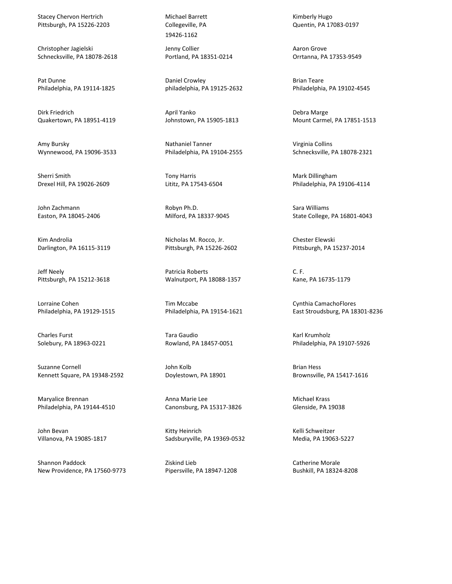Stacey Chervon Hertrich Pittsburgh, PA 15226-2203

Christopher Jagielski Schnecksville, PA 18078-2618

Pat Dunne Philadelphia, PA 19114-1825

Dirk Friedrich Quakertown, PA 18951-4119

Amy Bursky Wynnewood, PA 19096-3533

Sherri Smith Drexel Hill, PA 19026-2609

John Zachmann Easton, PA 18045-2406

Kim Androlia Darlington, PA 16115-3119

Jeff Neely Pittsburgh, PA 15212-3618

Lorraine Cohen Philadelphia, PA 19129-1515

Charles Furst Solebury, PA 18963-0221

Suzanne Cornell Kennett Square, PA 19348-2592

Maryalice Brennan Philadelphia, PA 19144-4510

John Bevan Villanova, PA 19085-1817

Shannon Paddock New Providence, PA 17560-9773 Michael Barrett Collegeville, PA 19426-1162

Jenny Collier Portland, PA 18351-0214

Daniel Crowley philadelphia, PA 19125-2632

April Yanko Johnstown, PA 15905-1813

Nathaniel Tanner Philadelphia, PA 19104-2555

Tony Harris Lititz, PA 17543-6504

Robyn Ph.D. Milford, PA 18337-9045

Nicholas M. Rocco, Jr. Pittsburgh, PA 15226-2602

Patricia Roberts Walnutport, PA 18088-1357

Tim Mccabe Philadelphia, PA 19154-1621

Tara Gaudio Rowland, PA 18457-0051

John Kolb Doylestown, PA 18901

Anna Marie Lee Canonsburg, PA 15317-3826

Kitty Heinrich Sadsburyville, PA 19369-0532

Ziskind Lieb Pipersville, PA 18947-1208 Kimberly Hugo Quentin, PA 17083-0197

Aaron Grove Orrtanna, PA 17353-9549

Brian Teare Philadelphia, PA 19102-4545

Debra Marge Mount Carmel, PA 17851-1513

Virginia Collins Schnecksville, PA 18078-2321

Mark Dillingham Philadelphia, PA 19106-4114

Sara Williams State College, PA 16801-4043

Chester Elewski Pittsburgh, PA 15237-2014

C. F. Kane, PA 16735-1179

Cynthia CamachoFlores East Stroudsburg, PA 18301-8236

Karl Krumholz Philadelphia, PA 19107-5926

Brian Hess Brownsville, PA 15417-1616

Michael Krass Glenside, PA 19038

Kelli Schweitzer Media, PA 19063-5227

Catherine Morale Bushkill, PA 18324-8208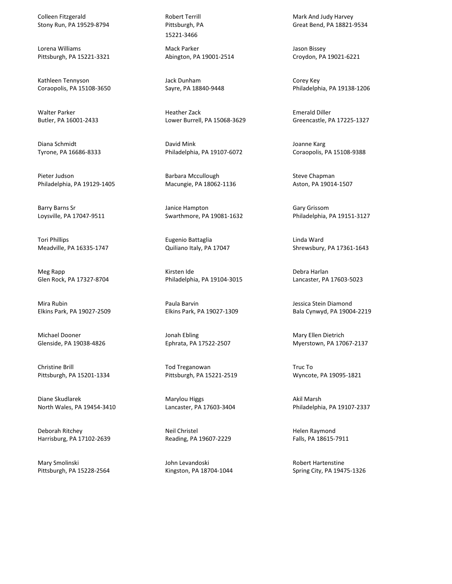Colleen Fitzgerald Stony Run, PA 19529-8794

Lorena Williams Pittsburgh, PA 15221-3321

Kathleen Tennyson Coraopolis, PA 15108-3650

Walter Parker Butler, PA 16001-2433

Diana Schmidt Tyrone, PA 16686-8333

Pieter Judson Philadelphia, PA 19129-1405

Barry Barns Sr Loysville, PA 17047-9511

Tori Phillips Meadville, PA 16335-1747

Meg Rapp Glen Rock, PA 17327-8704

Mira Rubin Elkins Park, PA 19027-2509

Michael Dooner Glenside, PA 19038-4826

Christine Brill Pittsburgh, PA 15201-1334

Diane Skudlarek North Wales, PA 19454-3410

Deborah Ritchey Harrisburg, PA 17102-2639

Mary Smolinski Pittsburgh, PA 15228-2564 Robert Terrill Pittsburgh, PA 15221-3466

Mack Parker Abington, PA 19001-2514

Jack Dunham Sayre, PA 18840-9448

Heather Zack Lower Burrell, PA 15068-3629

David Mink Philadelphia, PA 19107-6072

Barbara Mccullough Macungie, PA 18062-1136

Janice Hampton Swarthmore, PA 19081-1632

Eugenio Battaglia Quiliano Italy, PA 17047

Kirsten Ide Philadelphia, PA 19104-3015

Paula Barvin Elkins Park, PA 19027-1309

Jonah Ebling Ephrata, PA 17522-2507

Tod Treganowan Pittsburgh, PA 15221-2519

Marylou Higgs Lancaster, PA 17603-3404

Neil Christel Reading, PA 19607-2229

John Levandoski Kingston, PA 18704-1044 Mark And Judy Harvey Great Bend, PA 18821-9534

Jason Bissey Croydon, PA 19021-6221

Corey Key Philadelphia, PA 19138-1206

Emerald Diller Greencastle, PA 17225-1327

Joanne Karg Coraopolis, PA 15108-9388

Steve Chapman Aston, PA 19014-1507

Gary Grissom Philadelphia, PA 19151-3127

Linda Ward Shrewsbury, PA 17361-1643

Debra Harlan Lancaster, PA 17603-5023

Jessica Stein Diamond Bala Cynwyd, PA 19004-2219

Mary Ellen Dietrich Myerstown, PA 17067-2137

Truc To Wyncote, PA 19095-1821

Akil Marsh Philadelphia, PA 19107-2337

Helen Raymond Falls, PA 18615-7911

Robert Hartenstine Spring City, PA 19475-1326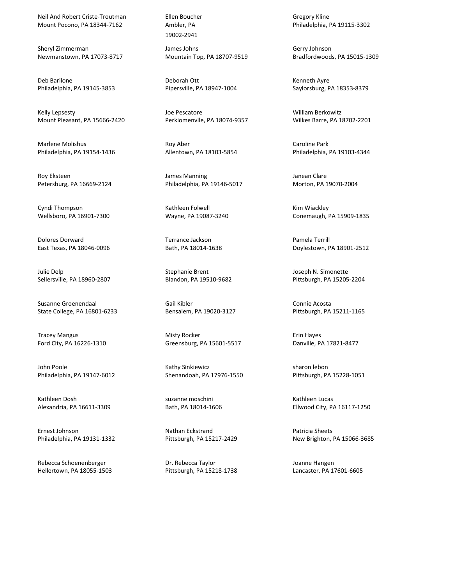Neil And Robert Criste-Troutman Mount Pocono, PA 18344-7162

Sheryl Zimmerman Newmanstown, PA 17073-8717

Deb Barilone Philadelphia, PA 19145-3853

Kelly Lepsesty Mount Pleasant, PA 15666-2420

Marlene Molishus Philadelphia, PA 19154-1436

Roy Eksteen Petersburg, PA 16669-2124

Cyndi Thompson Wellsboro, PA 16901-7300

Dolores Dorward East Texas, PA 18046-0096

Julie Delp Sellersville, PA 18960-2807

Susanne Groenendaal State College, PA 16801-6233

Tracey Mangus Ford City, PA 16226-1310

John Poole Philadelphia, PA 19147-6012

Kathleen Dosh Alexandria, PA 16611-3309

Ernest Johnson Philadelphia, PA 19131-1332

Rebecca Schoenenberger Hellertown, PA 18055-1503 Ellen Boucher Ambler, PA 19002-2941

James Johns Mountain Top, PA 18707-9519

Deborah Ott Pipersville, PA 18947-1004

Joe Pescatore Perkiomenvlle, PA 18074-9357

Roy Aber Allentown, PA 18103-5854

James Manning Philadelphia, PA 19146-5017

Kathleen Folwell Wayne, PA 19087-3240

Terrance Jackson Bath, PA 18014-1638

Stephanie Brent Blandon, PA 19510-9682

Gail Kibler Bensalem, PA 19020-3127

Misty Rocker Greensburg, PA 15601-5517

Kathy Sinkiewicz Shenandoah, PA 17976-1550

suzanne moschini Bath, PA 18014-1606

Nathan Eckstrand Pittsburgh, PA 15217-2429

Dr. Rebecca Taylor Pittsburgh, PA 15218-1738 Gregory Kline Philadelphia, PA 19115-3302

Gerry Johnson Bradfordwoods, PA 15015-1309

Kenneth Ayre Saylorsburg, PA 18353-8379

William Berkowitz Wilkes Barre, PA 18702-2201

Caroline Park Philadelphia, PA 19103-4344

Janean Clare Morton, PA 19070-2004

Kim Wiackley Conemaugh, PA 15909-1835

Pamela Terrill Doylestown, PA 18901-2512

Joseph N. Simonette Pittsburgh, PA 15205-2204

Connie Acosta Pittsburgh, PA 15211-1165

Erin Hayes Danville, PA 17821-8477

sharon lebon Pittsburgh, PA 15228-1051

Kathleen Lucas Ellwood City, PA 16117-1250

Patricia Sheets New Brighton, PA 15066-3685

Joanne Hangen Lancaster, PA 17601-6605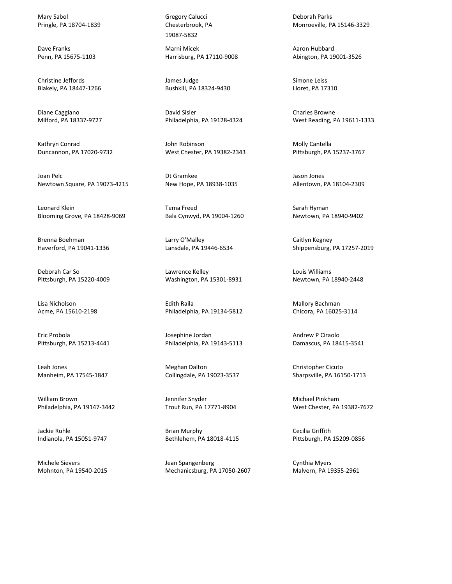Mary Sabol Pringle, PA 18704-1839

Dave Franks Penn, PA 15675-1103

Christine Jeffords Blakely, PA 18447-1266

Diane Caggiano Milford, PA 18337-9727

Kathryn Conrad Duncannon, PA 17020-9732

Joan Pelc Newtown Square, PA 19073-4215

Leonard Klein Blooming Grove, PA 18428-9069

Brenna Boehman Haverford, PA 19041-1336

Deborah Car So Pittsburgh, PA 15220-4009

Lisa Nicholson Acme, PA 15610-2198

Eric Probola Pittsburgh, PA 15213-4441

Leah Jones Manheim, PA 17545-1847

William Brown Philadelphia, PA 19147-3442

Jackie Ruhle Indianola, PA 15051-9747

Michele Sievers Mohnton, PA 19540-2015 Gregory Calucci Chesterbrook, PA 19087-5832

Marni Micek Harrisburg, PA 17110-9008

James Judge Bushkill, PA 18324-9430

David Sisler Philadelphia, PA 19128-4324

John Robinson West Chester, PA 19382-2343

Dt Gramkee New Hope, PA 18938-1035

Tema Freed Bala Cynwyd, PA 19004-1260

Larry O'Malley Lansdale, PA 19446-6534

Lawrence Kelley Washington, PA 15301-8931

Edith Raila Philadelphia, PA 19134-5812

Josephine Jordan Philadelphia, PA 19143-5113

Meghan Dalton Collingdale, PA 19023-3537

Jennifer Snyder Trout Run, PA 17771-8904

Brian Murphy Bethlehem, PA 18018-4115

Jean Spangenberg Mechanicsburg, PA 17050-2607 Deborah Parks Monroeville, PA 15146-3329

Aaron Hubbard Abington, PA 19001-3526

Simone Leiss Lloret, PA 17310

Charles Browne West Reading, PA 19611-1333

Molly Cantella Pittsburgh, PA 15237-3767

Jason Jones Allentown, PA 18104-2309

Sarah Hyman Newtown, PA 18940-9402

Caitlyn Kegney Shippensburg, PA 17257-2019

Louis Williams Newtown, PA 18940-2448

Mallory Bachman Chicora, PA 16025-3114

Andrew P Ciraolo Damascus, PA 18415-3541

Christopher Cicuto Sharpsville, PA 16150-1713

Michael Pinkham West Chester, PA 19382-7672

Cecilia Griffith Pittsburgh, PA 15209-0856

Cynthia Myers Malvern, PA 19355-2961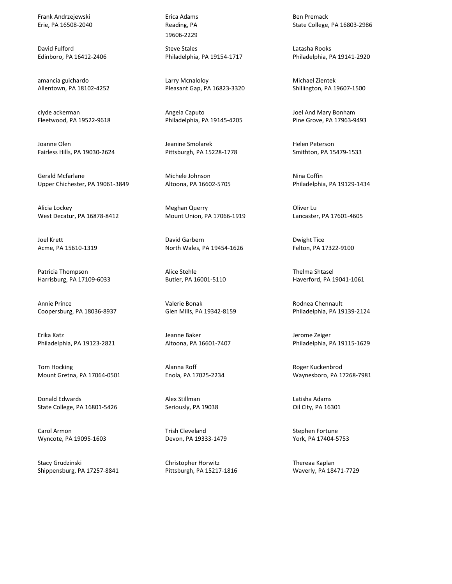Frank Andrzejewski Erie, PA 16508-2040

David Fulford Edinboro, PA 16412-2406

amancia guichardo Allentown, PA 18102-4252

clyde ackerman Fleetwood, PA 19522-9618

Joanne Olen Fairless Hills, PA 19030-2624

Gerald Mcfarlane Upper Chichester, PA 19061-3849

Alicia Lockey West Decatur, PA 16878-8412

Joel Krett Acme, PA 15610-1319

Patricia Thompson Harrisburg, PA 17109-6033

Annie Prince Coopersburg, PA 18036-8937

Erika Katz Philadelphia, PA 19123-2821

Tom Hocking Mount Gretna, PA 17064-0501

Donald Edwards State College, PA 16801-5426

Carol Armon Wyncote, PA 19095-1603

Stacy Grudzinski Shippensburg, PA 17257-8841 Erica Adams Reading, PA 19606-2229

Steve Stales Philadelphia, PA 19154-1717

Larry Mcnaloloy Pleasant Gap, PA 16823-3320

Angela Caputo Philadelphia, PA 19145-4205

Jeanine Smolarek Pittsburgh, PA 15228-1778

Michele Johnson Altoona, PA 16602-5705

Meghan Querry Mount Union, PA 17066-1919

David Garbern North Wales, PA 19454-1626

Alice Stehle Butler, PA 16001-5110

Valerie Bonak Glen Mills, PA 19342-8159

Jeanne Baker Altoona, PA 16601-7407

Alanna Roff Enola, PA 17025-2234

Alex Stillman Seriously, PA 19038

Trish Cleveland Devon, PA 19333-1479

Christopher Horwitz Pittsburgh, PA 15217-1816 Ben Premack State College, PA 16803-2986

Latasha Rooks Philadelphia, PA 19141-2920

Michael Zientek Shillington, PA 19607-1500

Joel And Mary Bonham Pine Grove, PA 17963-9493

Helen Peterson Smithton, PA 15479-1533

Nina Coffin Philadelphia, PA 19129-1434

Oliver Lu Lancaster, PA 17601-4605

Dwight Tice Felton, PA 17322-9100

Thelma Shtasel Haverford, PA 19041-1061

Rodnea Chennault Philadelphia, PA 19139-2124

Jerome Zeiger Philadelphia, PA 19115-1629

Roger Kuckenbrod Waynesboro, PA 17268-7981

Latisha Adams Oil City, PA 16301

Stephen Fortune York, PA 17404-5753

Thereaa Kaplan Waverly, PA 18471-7729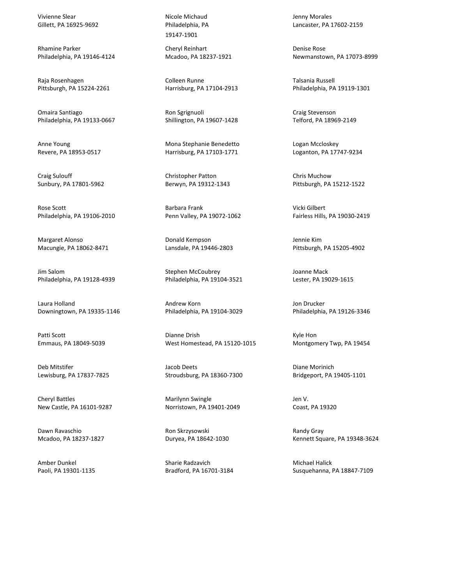Vivienne Slear Gillett, PA 16925-9692

Rhamine Parker Philadelphia, PA 19146-4124

Raja Rosenhagen Pittsburgh, PA 15224-2261

Omaira Santiago Philadelphia, PA 19133-0667

Anne Young Revere, PA 18953-0517

Craig Sulouff Sunbury, PA 17801-5962

Rose Scott Philadelphia, PA 19106-2010

Margaret Alonso Macungie, PA 18062-8471

Jim Salom Philadelphia, PA 19128-4939

Laura Holland Downingtown, PA 19335-1146

Patti Scott Emmaus, PA 18049-5039

Deb Mitstifer Lewisburg, PA 17837-7825

Cheryl Battles New Castle, PA 16101-9287

Dawn Ravaschio Mcadoo, PA 18237-1827

Amber Dunkel Paoli, PA 19301-1135 Nicole Michaud Philadelphia, PA 19147-1901

Cheryl Reinhart Mcadoo, PA 18237-1921

Colleen Runne Harrisburg, PA 17104-2913

Ron Sgrignuoli Shillington, PA 19607-1428

Mona Stephanie Benedetto Harrisburg, PA 17103-1771

Christopher Patton Berwyn, PA 19312-1343

Barbara Frank Penn Valley, PA 19072-1062

Donald Kempson Lansdale, PA 19446-2803

Stephen McCoubrey Philadelphia, PA 19104-3521

Andrew Korn Philadelphia, PA 19104-3029

Dianne Drish West Homestead, PA 15120-1015

Jacob Deets Stroudsburg, PA 18360-7300

Marilynn Swingle Norristown, PA 19401-2049

Ron Skrzysowski Duryea, PA 18642-1030

Sharie Radzavich Bradford, PA 16701-3184 Jenny Morales Lancaster, PA 17602-2159

Denise Rose Newmanstown, PA 17073-8999

Talsania Russell Philadelphia, PA 19119-1301

Craig Stevenson Telford, PA 18969-2149

Logan Mccloskey Loganton, PA 17747-9234

Chris Muchow Pittsburgh, PA 15212-1522

Vicki Gilbert Fairless Hills, PA 19030-2419

Jennie Kim Pittsburgh, PA 15205-4902

Joanne Mack Lester, PA 19029-1615

Jon Drucker Philadelphia, PA 19126-3346

Kyle Hon Montgomery Twp, PA 19454

Diane Morinich Bridgeport, PA 19405-1101

Jen V. Coast, PA 19320

Randy Gray Kennett Square, PA 19348-3624

Michael Halick Susquehanna, PA 18847-7109